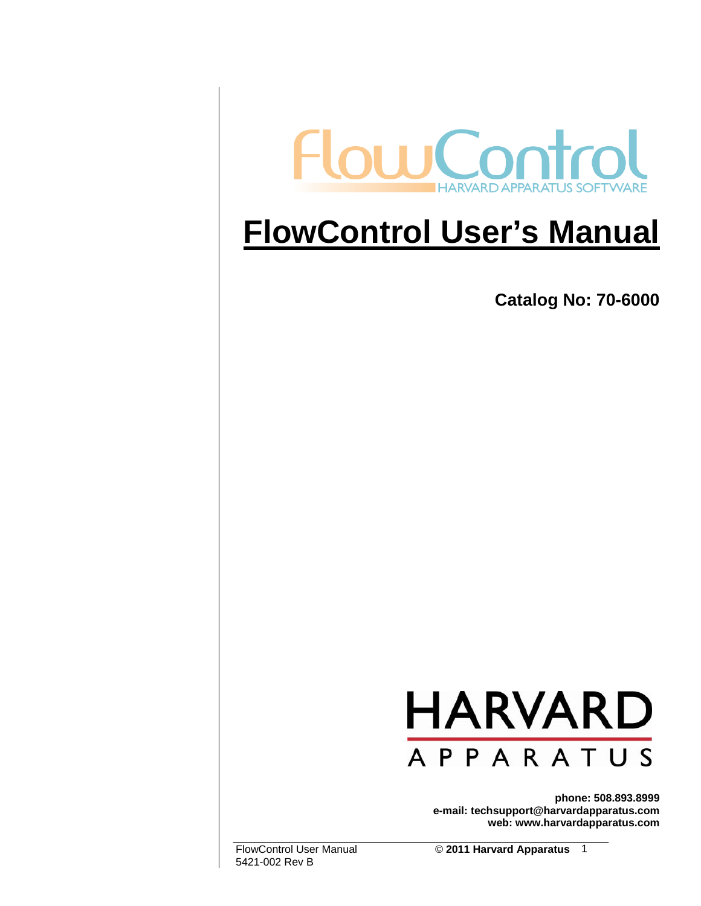

# **FlowControl User's Manual**

**Catalog No: 70-6000** 



**phone: 508.893.8999 e-mail: techsupport@harvardapparatus.com web: www.harvardapparatus.com** 

5421-002 Rev B

FlowControl User Manual © **2011 Harvard Apparatus**  1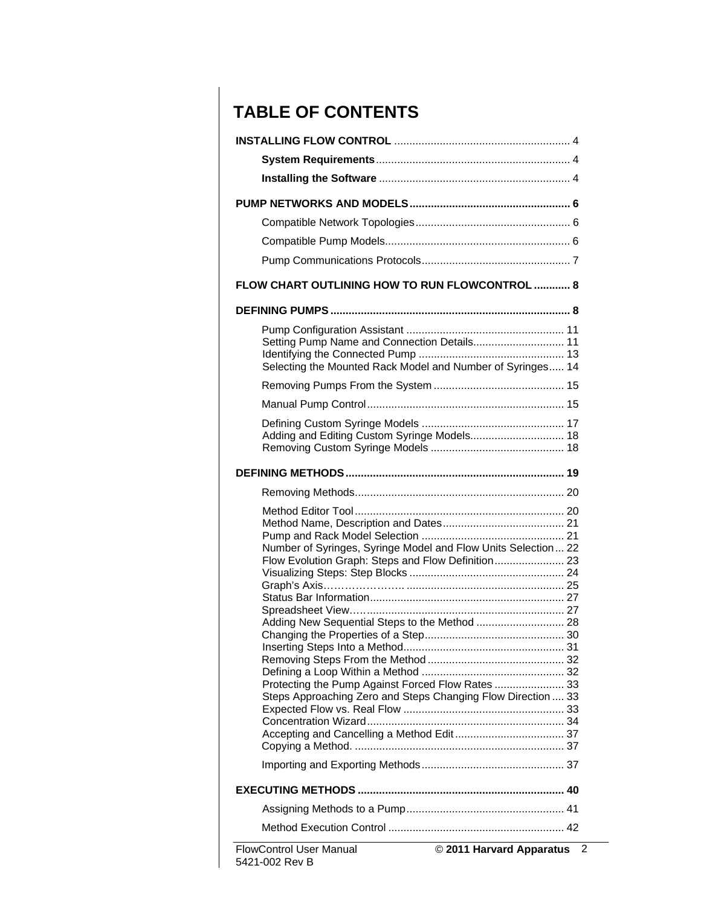### **TABLE OF CONTENTS**

| FLOW CHART OUTLINING HOW TO RUN FLOWCONTROL  8 |                                                               |
|------------------------------------------------|---------------------------------------------------------------|
|                                                |                                                               |
|                                                |                                                               |
|                                                | Setting Pump Name and Connection Details 11                   |
|                                                |                                                               |
|                                                | Selecting the Mounted Rack Model and Number of Syringes 14    |
|                                                |                                                               |
|                                                |                                                               |
|                                                |                                                               |
|                                                | Adding and Editing Custom Syringe Models 18                   |
|                                                |                                                               |
|                                                |                                                               |
|                                                |                                                               |
|                                                |                                                               |
|                                                |                                                               |
|                                                | Number of Syringes, Syringe Model and Flow Units Selection 22 |
|                                                | Flow Evolution Graph: Steps and Flow Definition 23            |
|                                                |                                                               |
|                                                |                                                               |
|                                                |                                                               |
|                                                | Adding New Sequential Steps to the Method  28                 |
|                                                |                                                               |
|                                                |                                                               |
|                                                | Protecting the Pump Against Forced Flow Rates  33             |
|                                                | Steps Approaching Zero and Steps Changing Flow Direction  33  |
|                                                |                                                               |
|                                                |                                                               |
|                                                |                                                               |
|                                                |                                                               |
|                                                |                                                               |
|                                                |                                                               |
|                                                |                                                               |
| <b>FlowControl User Manual</b>                 | © 2011 Harvard Apparatus                                      |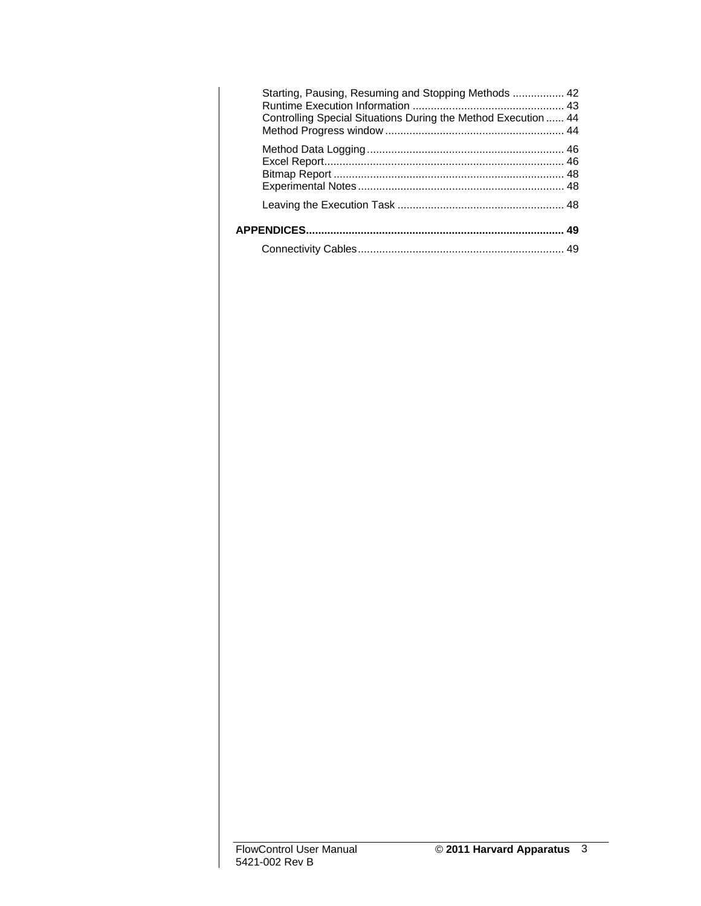| Starting, Pausing, Resuming and Stopping Methods  42<br>Controlling Special Situations During the Method Execution  44 |  |
|------------------------------------------------------------------------------------------------------------------------|--|
|                                                                                                                        |  |
|                                                                                                                        |  |
|                                                                                                                        |  |
|                                                                                                                        |  |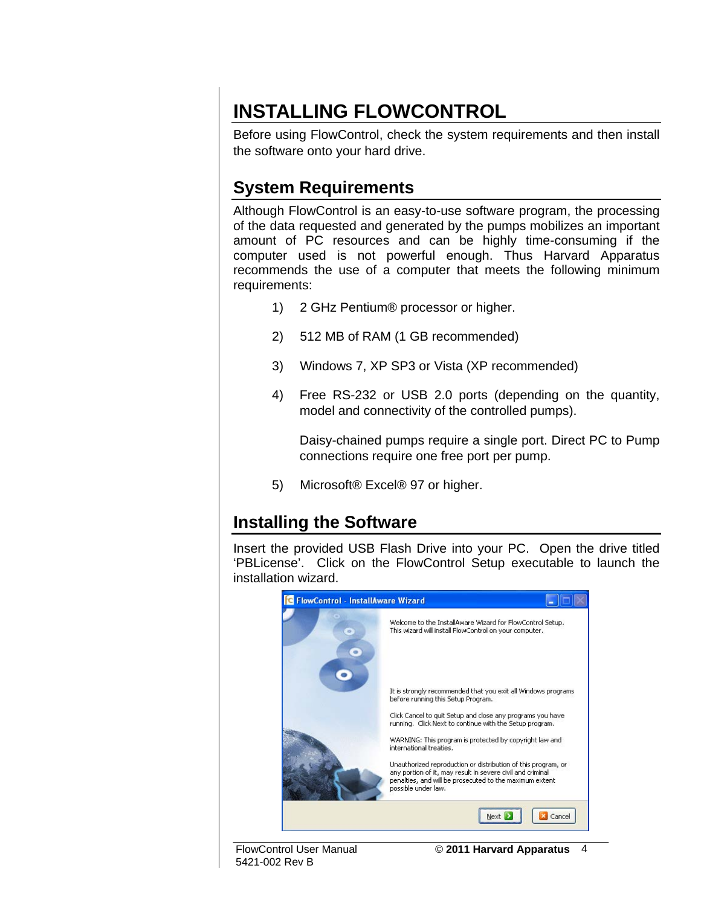## **INSTALLING FLOWCONTROL**

Before using FlowControl, check the system requirements and then install the software onto your hard drive.

### **System Requirements**

Although FlowControl is an easy-to-use software program, the processing of the data requested and generated by the pumps mobilizes an important amount of PC resources and can be highly time-consuming if the computer used is not powerful enough. Thus Harvard Apparatus recommends the use of a computer that meets the following minimum requirements:

- 1) 2 GHz Pentium® processor or higher.
- 2) 512 MB of RAM (1 GB recommended)
- 3) Windows 7, XP SP3 or Vista (XP recommended)
- 4) Free RS-232 or USB 2.0 ports (depending on the quantity, model and connectivity of the controlled pumps).

Daisy-chained pumps require a single port. Direct PC to Pump connections require one free port per pump.

5) Microsoft® Excel® 97 or higher.

#### **Installing the Software**

Insert the provided USB Flash Drive into your PC. Open the drive titled 'PBLicense'. Click on the FlowControl Setup executable to launch the installation wizard.



5421-002 Rev B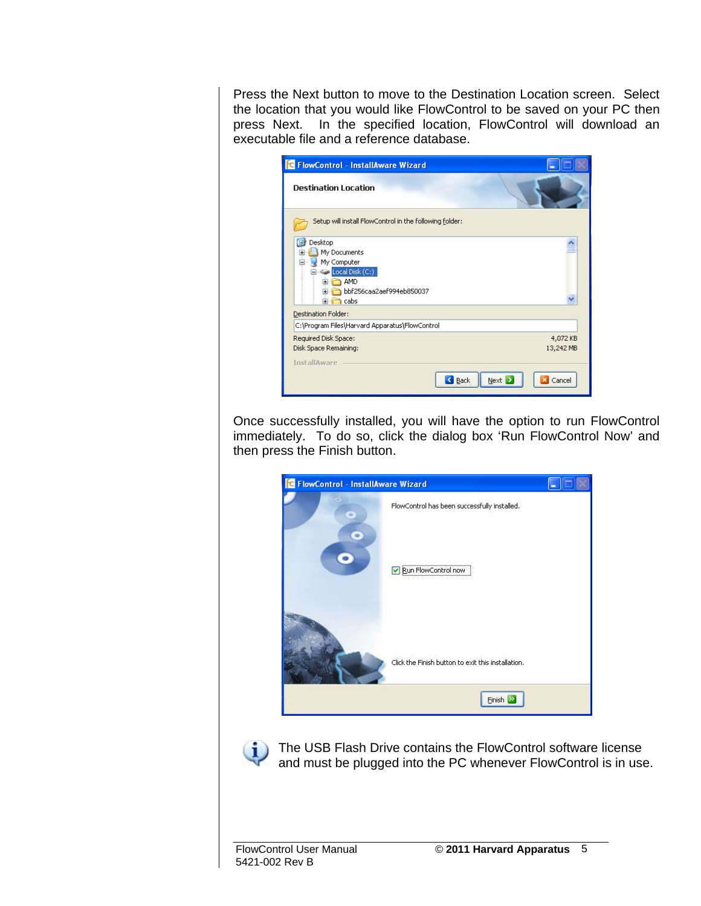Press the Next button to move to the Destination Location screen. Select the location that you would like FlowControl to be saved on your PC then press Next. In the specified location, FlowControl will download an executable file and a reference database.

| <b>FlowControl - InstallAware Wizard</b>                                                                               |                       |
|------------------------------------------------------------------------------------------------------------------------|-----------------------|
| <b>Destination Location</b>                                                                                            |                       |
| Setup will install FlowControl in the following folder:                                                                |                       |
| Desktop<br>My Documents<br>My Computer<br>Local Disk (C:)<br>ia.                                                       |                       |
| AMD<br>$\overline{+}$<br>bbf256caa2aef994eb850037<br>$\exists$ cabs<br>Œŀ.                                             |                       |
| Destination Folder:                                                                                                    |                       |
| C:\Program Files\Harvard Apparatus\FlowControl<br>Required Disk Space:<br>Disk Space Remaining:<br><b>InstallAware</b> | 4,072 KB<br>13,242 MB |
| <b>B</b> ack                                                                                                           | Next  <br>Cancel      |

Once successfully installed, you will have the option to run FlowControl immediately. To do so, click the dialog box 'Run FlowControl Now' and then press the Finish button.





The USB Flash Drive contains the FlowControl software license and must be plugged into the PC whenever FlowControl is in use.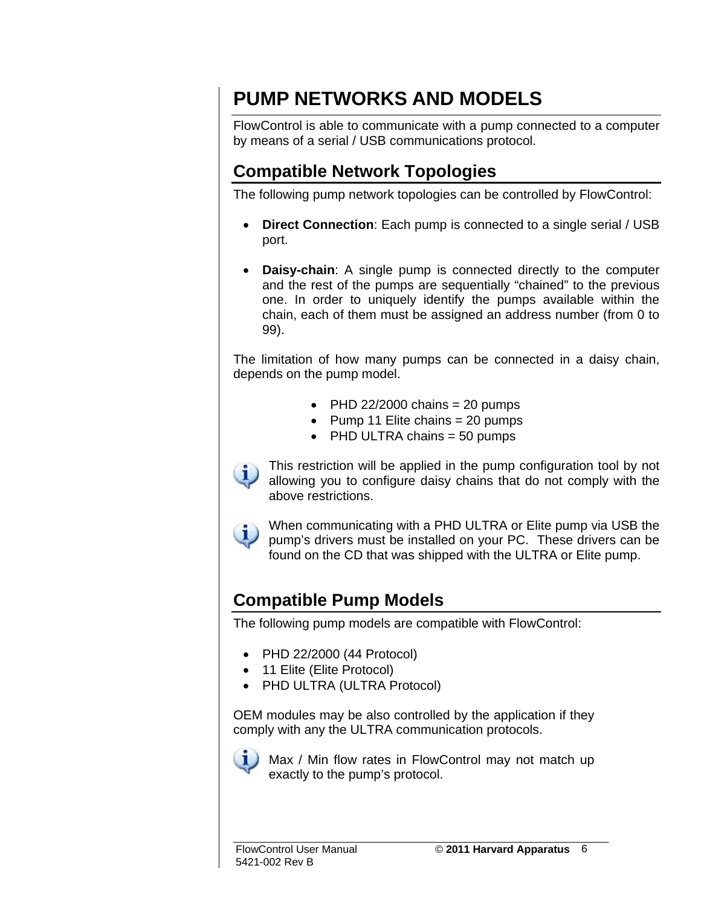## **PUMP NETWORKS AND MODELS**

FlowControl is able to communicate with a pump connected to a computer by means of a serial / USB communications protocol.

#### **Compatible Network Topologies**

The following pump network topologies can be controlled by FlowControl:

- **Direct Connection**: Each pump is connected to a single serial / USB port.
- **Daisy-chain**: A single pump is connected directly to the computer and the rest of the pumps are sequentially "chained" to the previous one. In order to uniquely identify the pumps available within the chain, each of them must be assigned an address number (from 0 to 99).

The limitation of how many pumps can be connected in a daisy chain, depends on the pump model.

- PHD 22/2000 chains  $= 20$  pumps
- Pump 11 Elite chains  $= 20$  pumps
- PHD ULTRA chains  $=$  50 pumps



This restriction will be applied in the pump configuration tool by not allowing you to configure daisy chains that do not comply with the above restrictions.



When communicating with a PHD ULTRA or Elite pump via USB the pump's drivers must be installed on your PC. These drivers can be found on the CD that was shipped with the ULTRA or Elite pump.

#### **Compatible Pump Models**

The following pump models are compatible with FlowControl:

- PHD 22/2000 (44 Protocol)
- 11 Elite (Elite Protocol)
- PHD ULTRA (ULTRA Protocol)

OEM modules may be also controlled by the application if they comply with any the ULTRA communication protocols.



Max / Min flow rates in FlowControl may not match up exactly to the pump's protocol.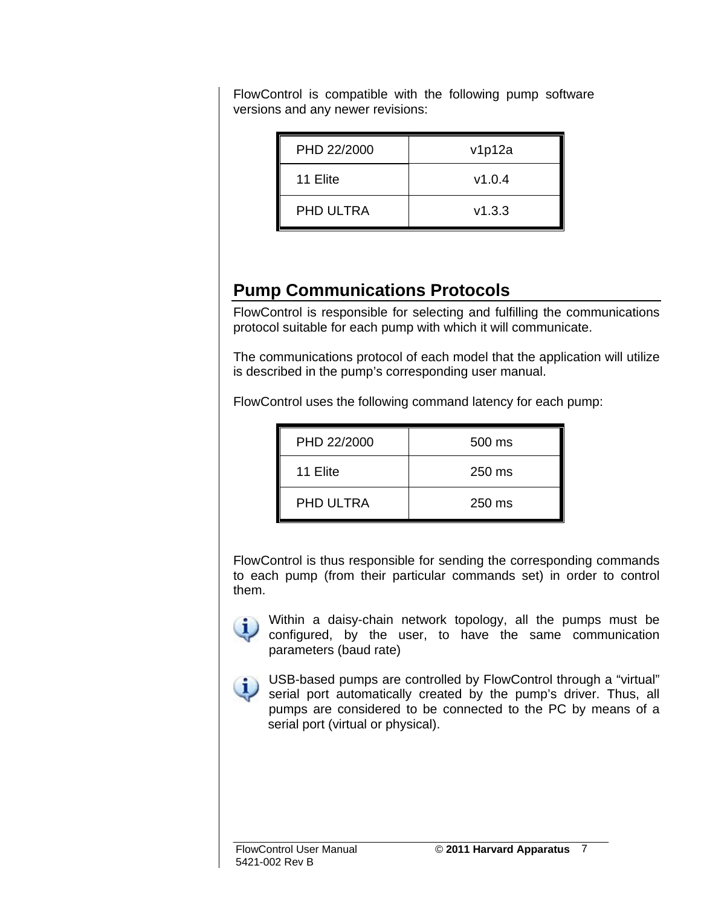| PHD 22/2000      | v1p12a |
|------------------|--------|
| 11 Elite         | v1.0.4 |
| <b>PHD ULTRA</b> | V1.3.3 |

FlowControl is compatible with the following pump software versions and any newer revisions:

#### **Pump Communications Protocols**

FlowControl is responsible for selecting and fulfilling the communications protocol suitable for each pump with which it will communicate.

The communications protocol of each model that the application will utilize is described in the pump's corresponding user manual.

FlowControl uses the following command latency for each pump:

| PHD 22/2000      | 500 ms |
|------------------|--------|
| 11 Elite         | 250 ms |
| <b>PHD ULTRA</b> | 250 ms |

FlowControl is thus responsible for sending the corresponding commands to each pump (from their particular commands set) in order to control them.



Within a daisy-chain network topology, all the pumps must be configured, by the user, to have the same communication parameters (baud rate)



USB-based pumps are controlled by FlowControl through a "virtual"<br>Serial port automotically created in the control through a "virtual" serial port automatically created by the pump's driver. Thus, all pumps are considered to be connected to the PC by means of a serial port (virtual or physical).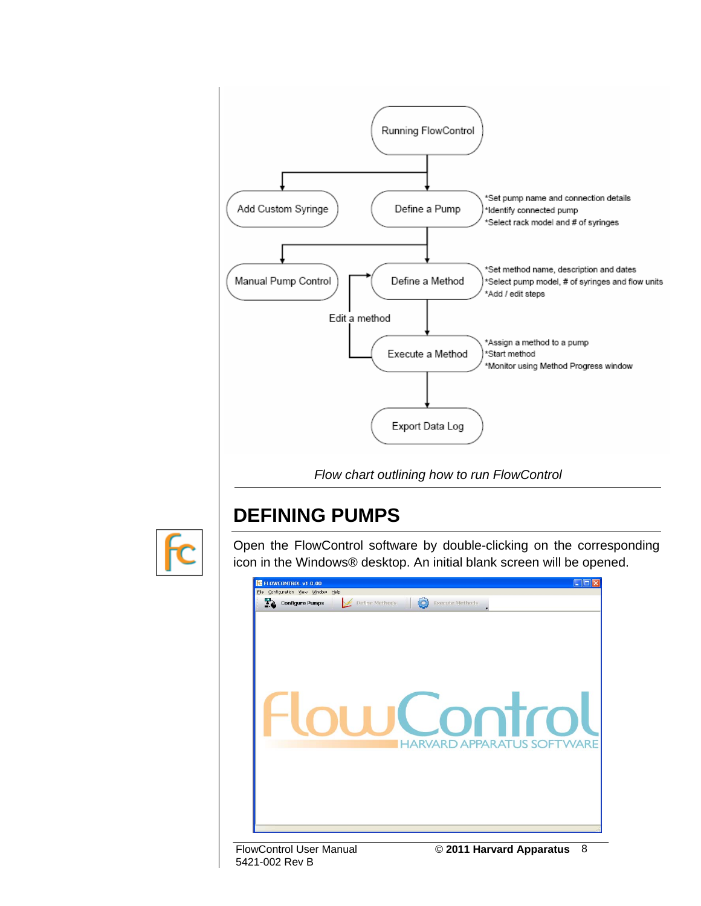

 *Flow chart outlining how to run FlowControl* 

## **DEFINING PUMPS**



Open the FlowControl software by double-clicking on the corresponding icon in the Windows® desktop. An initial blank screen will be opened.



5421-002 Rev B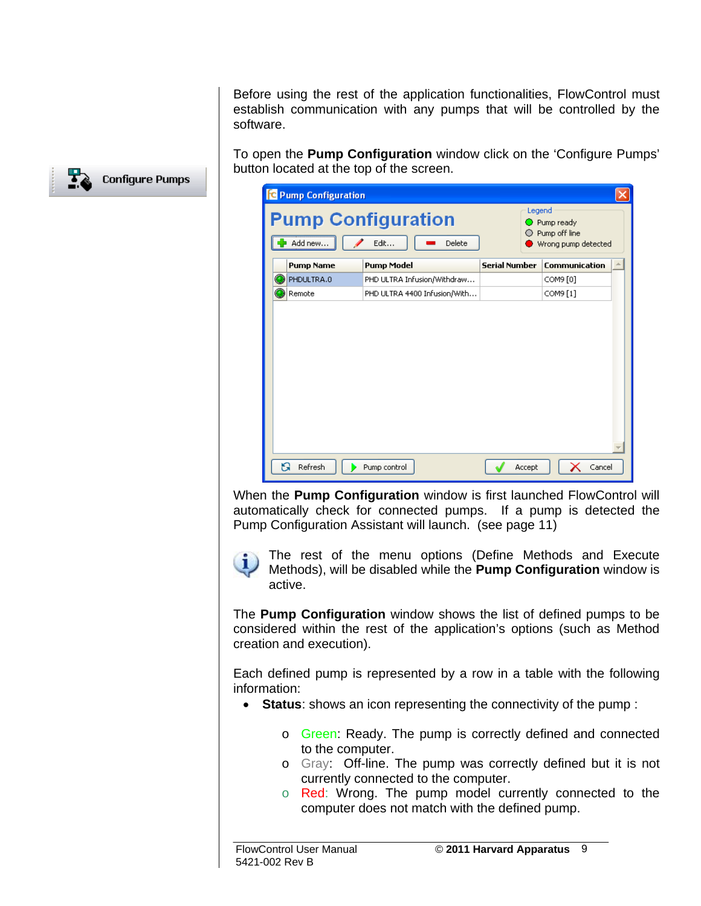Before using the rest of the application functionalities, FlowControl must establish communication with any pumps that will be controlled by the software.

To open the **Pump Configuration** window click on the 'Configure Pumps' button located at the top of the screen.



When the **Pump Configuration** window is first launched FlowControl will automatically check for connected pumps. If a pump is detected the Pump Configuration Assistant will launch. (see page 11)

The rest of the menu options (Define Methods and Execute Methods), will be disabled while the **Pump Configuration** window is active.

The **Pump Configuration** window shows the list of defined pumps to be considered within the rest of the application's options (such as Method creation and execution).

Each defined pump is represented by a row in a table with the following information:

- **Status**: shows an icon representing the connectivity of the pump :
	- o Green: Ready. The pump is correctly defined and connected to the computer.
	- o Gray: Off-line. The pump was correctly defined but it is not currently connected to the computer.
	- o Red: Wrong. The pump model currently connected to the computer does not match with the defined pump.

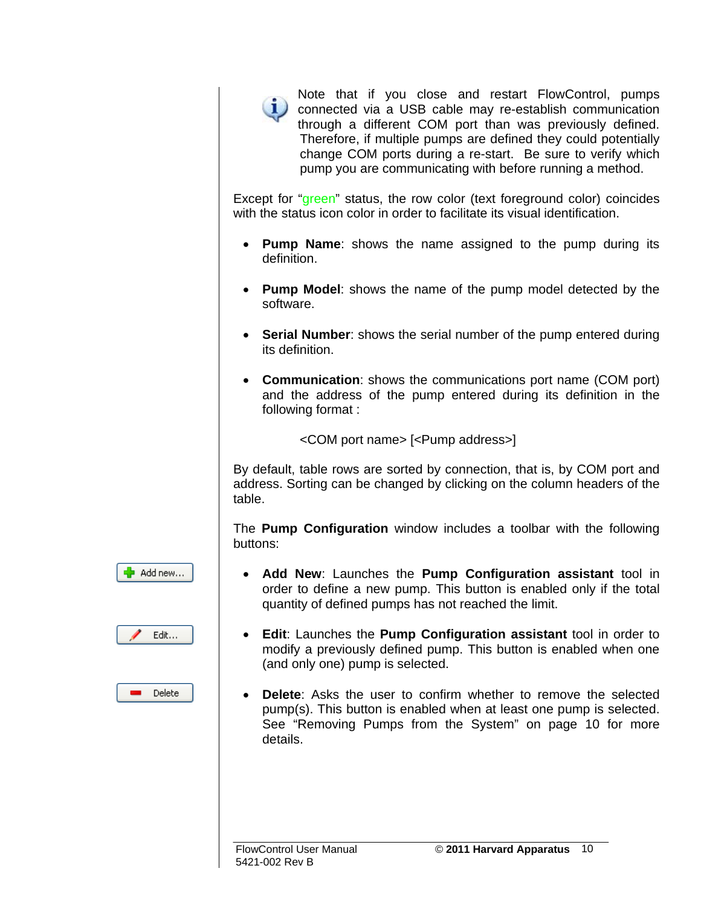

Note that if you close and restart FlowControl, pumps connected via a USB cable may re-establish communication through a different COM port than was previously defined. Therefore, if multiple pumps are defined they could potentially change COM ports during a re-start. Be sure to verify which pump you are communicating with before running a method.

Except for "green" status, the row color (text foreground color) coincides with the status icon color in order to facilitate its visual identification.

- **Pump Name**: shows the name assigned to the pump during its definition.
- **Pump Model**: shows the name of the pump model detected by the software.
- **Serial Number**: shows the serial number of the pump entered during its definition.
- **Communication**: shows the communications port name (COM port) and the address of the pump entered during its definition in the following format :

<COM port name> [<Pump address>]

By default, table rows are sorted by connection, that is, by COM port and address. Sorting can be changed by clicking on the column headers of the table.

The **Pump Configuration** window includes a toolbar with the following buttons:





Delete

- **Add New**: Launches the **Pump Configuration assistant** tool in order to define a new pump. This button is enabled only if the total quantity of defined pumps has not reached the limit.
- **Edit**: Launches the **Pump Configuration assistant** tool in order to modify a previously defined pump. This button is enabled when one (and only one) pump is selected.
- **Delete**: Asks the user to confirm whether to remove the selected pump(s). This button is enabled when at least one pump is selected. See "Removing Pumps from the System" on page 10 for more details.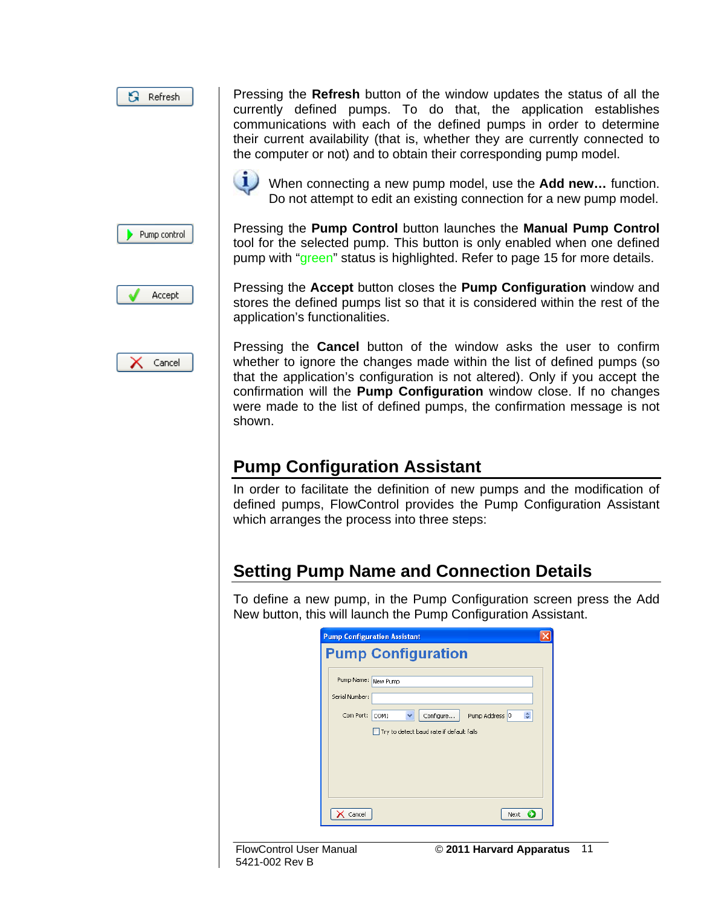$\mathbf{B}$  Refresh Pump control Pressing the **Refresh** button of the window updates the status of all the currently defined pumps. To do that, the application establishes communications with each of the defined pumps in order to determine their current availability (that is, whether they are currently connected to the computer or not) and to obtain their corresponding pump model.



When connecting a new pump model, use the **Add new…** function. Do not attempt to edit an existing connection for a new pump model.

Pressing the **Pump Control** button launches the **Manual Pump Control** tool for the selected pump. This button is only enabled when one defined pump with "green" status is highlighted. Refer to page 15 for more details.



Cancel

Pressing the **Accept** button closes the **Pump Configuration** window and stores the defined pumps list so that it is considered within the rest of the application's functionalities.

Pressing the **Cancel** button of the window asks the user to confirm whether to ignore the changes made within the list of defined pumps (so that the application's configuration is not altered). Only if you accept the confirmation will the **Pump Configuration** window close. If no changes were made to the list of defined pumps, the confirmation message is not shown.

#### **Pump Configuration Assistant**

In order to facilitate the definition of new pumps and the modification of defined pumps, FlowControl provides the Pump Configuration Assistant which arranges the process into three steps:

#### **Setting Pump Name and Connection Details**

To define a new pump, in the Pump Configuration screen press the Add New button, this will launch the Pump Configuration Assistant.

|                | <b>Pump Configuration Assistant</b>                |  |
|----------------|----------------------------------------------------|--|
|                | <b>Pump Configuration</b>                          |  |
|                | Pump Name: New Pump                                |  |
| Serial Number: |                                                    |  |
| Com Port:      | $\div$<br>Configure<br>Pump Address 0<br>COM1<br>v |  |
|                | Try to detect baud rate if default fails           |  |
|                |                                                    |  |
|                |                                                    |  |
|                |                                                    |  |
|                |                                                    |  |
| Cancel         | Next<br>э                                          |  |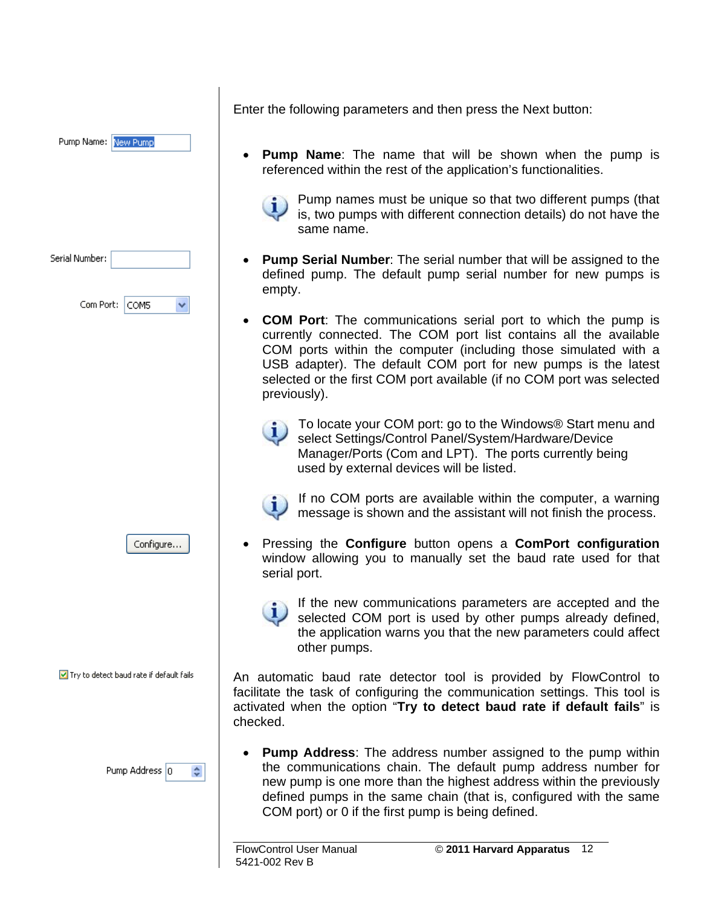| Pump Name: New Pump                             | Εı                  |
|-------------------------------------------------|---------------------|
| Serial Number:<br>Com Port:<br>COM <sub>5</sub> |                     |
|                                                 |                     |
| Configure                                       |                     |
| Try to detect baud rate if default fails        | Aı<br>fa<br>a<br>cł |
| Pump Address 0<br>÷                             |                     |

nter the following parameters and then press the Next button:

• **Pump Name**: The name that will be shown when the pump is referenced within the rest of the application's functionalities.

 $\mathsf{I}$ 

Pump names must be unique so that two different pumps (that is, two pumps with different connection details) do not have the same name.

- **Pump Serial Number**: The serial number that will be assigned to the defined pump. The default pump serial number for new pumps is empty.
- **COM Port**: The communications serial port to which the pump is currently connected. The COM port list contains all the available COM ports within the computer (including those simulated with a USB adapter). The default COM port for new pumps is the latest selected or the first COM port available (if no COM port was selected previously).
	- To locate your COM port: go to the Windows® Start menu and select Settings/Control Panel/System/Hardware/Device Manager/Ports (Com and LPT). The ports currently being used by external devices will be listed.



If no COM ports are available within the computer, a warning message is shown and the assistant will not finish the process.

- Pressing the **Configure** button opens a **ComPort configuration** window allowing you to manually set the baud rate used for that serial port.
	- If the new communications parameters are accepted and the selected COM port is used by other pumps already defined, the application warns you that the new parameters could affect other pumps.

n automatic baud rate detector tool is provided by FlowControl to icilitate the task of configuring the communication settings. This tool is activated when the option "**Try to detect baud rate if default fails**" is checked.

• **Pump Address**: The address number assigned to the pump within the communications chain. The default pump address number for new pump is one more than the highest address within the previously defined pumps in the same chain (that is, configured with the same COM port) or 0 if the first pump is being defined.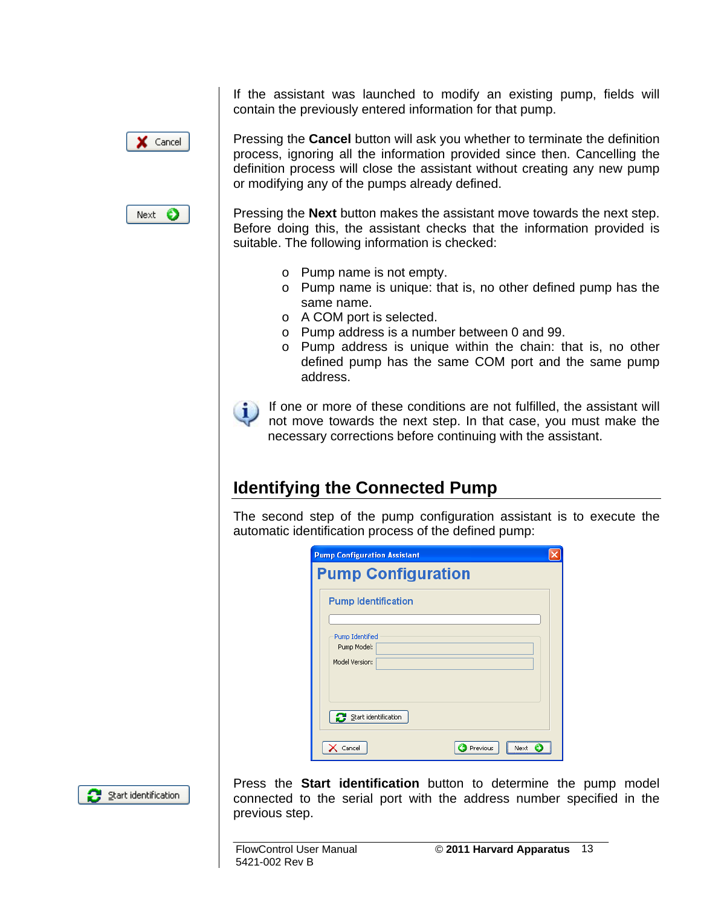If the assistant was launched to modify an existing pump, fields will contain the previously entered information for that pump.



Pressing the **Cancel** button will ask you whether to terminate the definition process, ignoring all the information provided since then. Cancelling the definition process will close the assistant without creating any new pump or modifying any of the pumps already defined.



Pressing the **Next** button makes the assistant move towards the next step. Before doing this, the assistant checks that the information provided is suitable. The following information is checked:

- o Pump name is not empty.
- o Pump name is unique: that is, no other defined pump has the same name.
- o A COM port is selected.
- o Pump address is a number between 0 and 99.
- o Pump address is unique within the chain: that is, no other defined pump has the same COM port and the same pump address.

If one or more of these conditions are not fulfilled, the assistant will not move towards the next step. In that case, you must make the necessary corrections before continuing with the assistant.

#### **Identifying the Connected Pump**

The second step of the pump configuration assistant is to execute the automatic identification process of the defined pump:

| <b>Pump Configuration Assistant</b> |      |
|-------------------------------------|------|
| <b>Pump Configuration</b>           |      |
| <b>Pump Identification</b>          |      |
|                                     |      |
| <b>Pump Identified</b>              |      |
| Pump Model:                         |      |
| Model Version:                      |      |
|                                     |      |
|                                     |      |
|                                     |      |
| Start identification                |      |
|                                     |      |
| Previous<br>Cancel                  | Next |



Press the **Start identification** button to determine the pump model connected to the serial port with the address number specified in the previous step.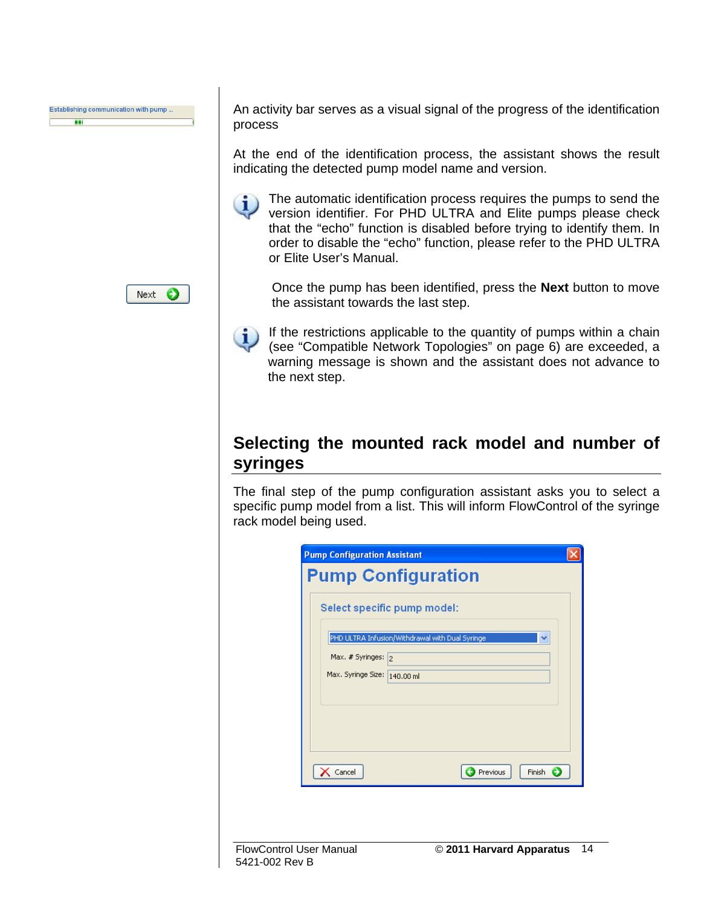

An activity bar serves as a visual signal of the progress of the identification process

At the end of the identification process, the assistant shows the result indicating the detected pump model name and version.

The automatic identification process requires the pumps to send the п. version identifier. For PHD ULTRA and Elite pumps please check that the "echo" function is disabled before trying to identify them. In order to disable the "echo" function, please refer to the PHD ULTRA or Elite User's Manual.

Next  $\bigcirc$ 

Once the pump has been identified, press the **Next** button to move the assistant towards the last step.

If the restrictions applicable to the quantity of pumps within a chain  $\left( 1\right)$ (see "Compatible Network Topologies" on page 6) are exceeded, a warning message is shown and the assistant does not advance to the next step.

#### **Selecting the mounted rack model and number of syringes**

The final step of the pump configuration assistant asks you to select a specific pump model from a list. This will inform FlowControl of the syringe rack model being used.

|                              | Select specific pump model:                          |
|------------------------------|------------------------------------------------------|
|                              | PHD ULTRA Infusion/Withdrawal with Dual Syringe<br>v |
| Max. $#$ Syringes: $ _2$     |                                                      |
| Max. Syringe Size: 140.00 ml |                                                      |
|                              |                                                      |
|                              |                                                      |
|                              |                                                      |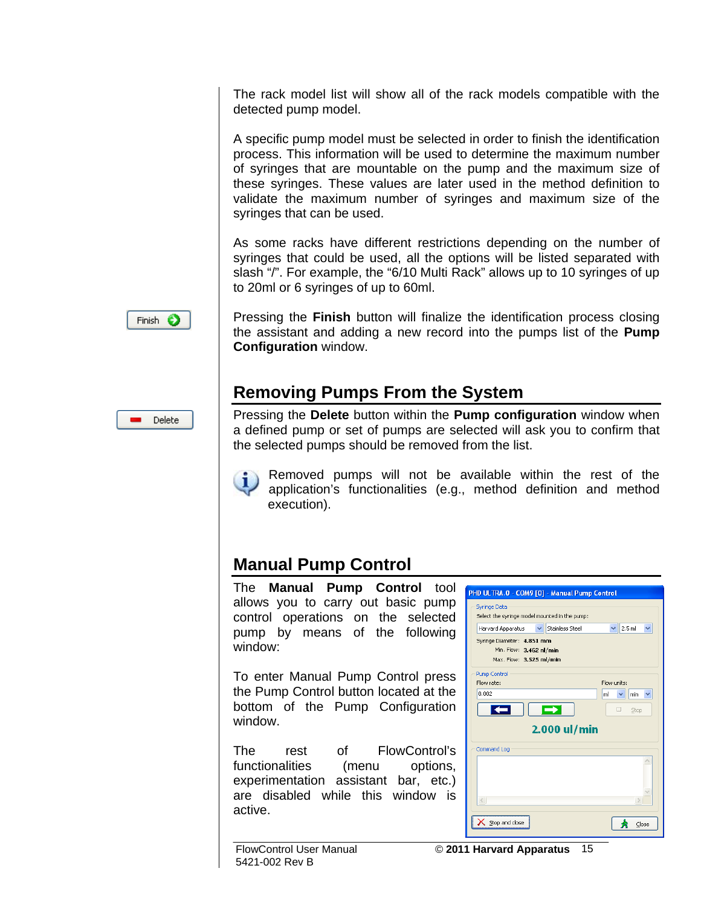The rack model list will show all of the rack models compatible with the detected pump model.

A specific pump model must be selected in order to finish the identification process. This information will be used to determine the maximum number of syringes that are mountable on the pump and the maximum size of these syringes. These values are later used in the method definition to validate the maximum number of syringes and maximum size of the syringes that can be used.

As some racks have different restrictions depending on the number of syringes that could be used, all the options will be listed separated with slash "/". For example, the "6/10 Multi Rack" allows up to 10 syringes of up to 20ml or 6 syringes of up to 60ml.



Pressing the **Finish** button will finalize the identification process closing the assistant and adding a new record into the pumps list of the **Pump Configuration** window.

#### **Removing Pumps From the System**

Delete

Pressing the **Delete** button within the **Pump configuration** window when a defined pump or set of pumps are selected will ask you to confirm that the selected pumps should be removed from the list.



Removed pumps will not be available within the rest of the application's functionalities (e.g., method definition and method execution).

#### **Manual Pump Control**

The **Manual Pump Control** tool allows you to carry out basic pump control operations on the selected pump by means of the following window:

To enter Manual Pump Control press the Pump Control button located at the bottom of the Pump Configuration window.

The rest of FlowControl's functionalities (menu options, experimentation assistant bar, etc.) are disabled while this window is active.

| Select the syringe model mounted in the pump:                                                         | Stainless Steel<br>$\vee$ |    | 2.5 <sub>ml</sub> |             |
|-------------------------------------------------------------------------------------------------------|---------------------------|----|-------------------|-------------|
| Harvard Apparatus<br>Syringe Diameter: 4.851 mm<br>Min. Flow: 3.462 nl/min<br>Max. Flow: 3.525 ml/min |                           |    |                   |             |
| <b>Pump Control</b>                                                                                   |                           |    |                   |             |
| Flow rate:                                                                                            |                           |    | Flow units:       |             |
| 0.002                                                                                                 |                           | ml | min<br>₩          |             |
|                                                                                                       |                           |    | п                 | <b>Stop</b> |
|                                                                                                       | 2.000 ul/min              |    |                   |             |
| Command Log                                                                                           |                           |    |                   |             |
|                                                                                                       |                           |    |                   |             |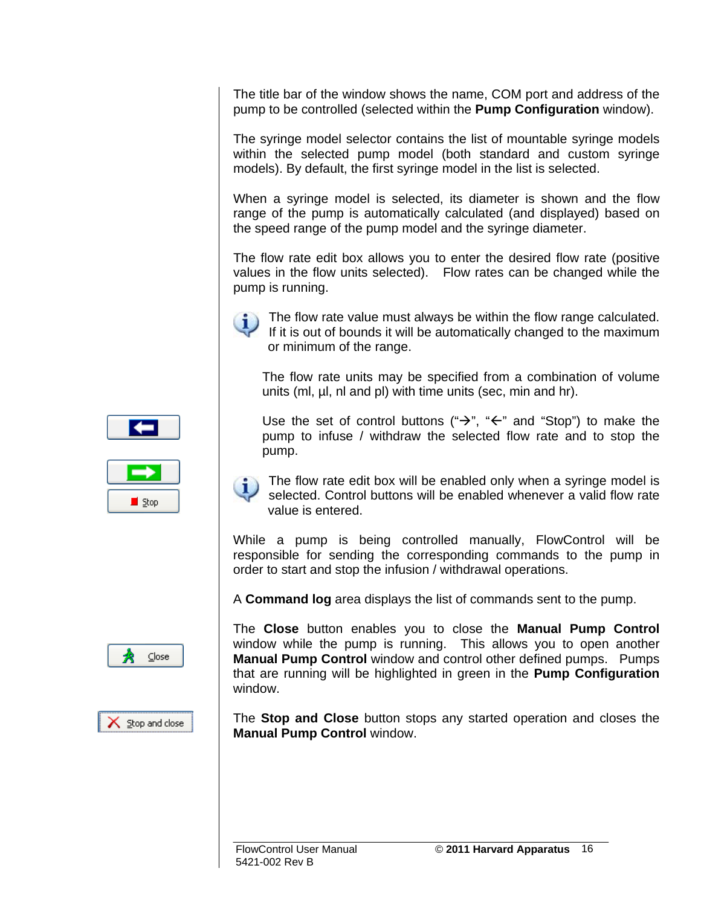The title bar of the window shows the name, COM port and address of the pump to be controlled (selected within the **Pump Configuration** window).

The syringe model selector contains the list of mountable syringe models within the selected pump model (both standard and custom syringe models). By default, the first syringe model in the list is selected.

When a syringe model is selected, its diameter is shown and the flow range of the pump is automatically calculated (and displayed) based on the speed range of the pump model and the syringe diameter.

The flow rate edit box allows you to enter the desired flow rate (positive values in the flow units selected). Flow rates can be changed while the pump is running.



The flow rate value must always be within the flow range calculated. If it is out of bounds it will be automatically changed to the maximum or minimum of the range.

The flow rate units may be specified from a combination of volume units (ml, µl, nl and pl) with time units (sec, min and hr).

Use the set of control buttons (" $\rightarrow$ ", " $\leftarrow$ " and "Stop") to make the pump to infuse / withdraw the selected flow rate and to stop the pump.



The flow rate edit box will be enabled only when a syringe model is selected. Control buttons will be enabled whenever a valid flow rate value is entered.

While a pump is being controlled manually, FlowControl will be responsible for sending the corresponding commands to the pump in order to start and stop the infusion / withdrawal operations.

A **Command log** area displays the list of commands sent to the pump.

The **Close** button enables you to close the **Manual Pump Control** window while the pump is running. This allows you to open another **Manual Pump Control** window and control other defined pumps. Pumps that are running will be highlighted in green in the **Pump Configuration** window.

The **Stop and Close** button stops any started operation and closes the **Manual Pump Control** window.



 $Close$ 

 $\times$  Stop and close

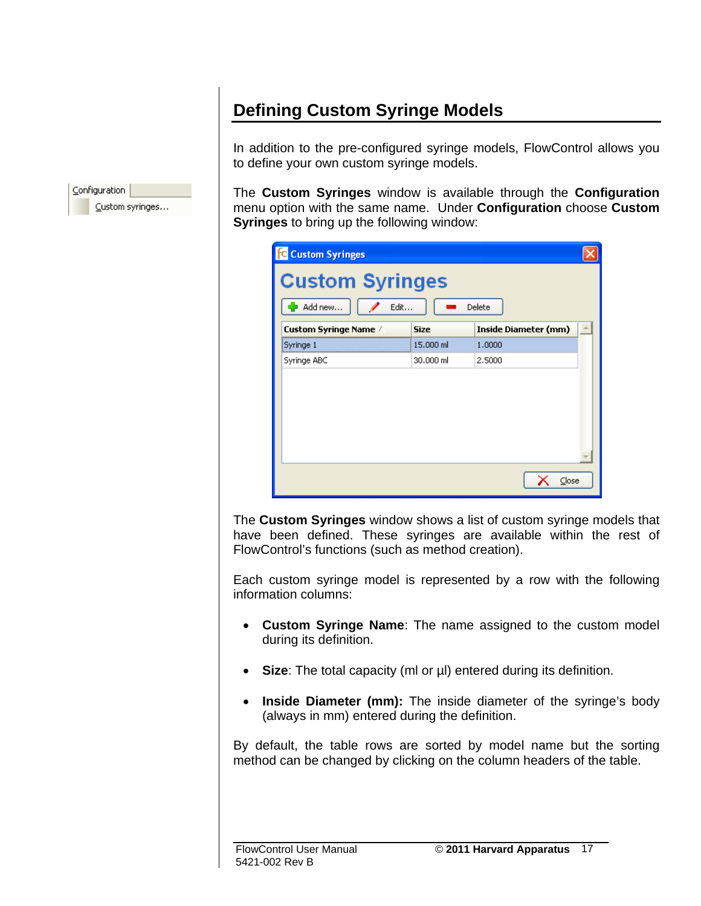### **Defining Custom Syringe Models**

In addition to the pre-configured syringe models, FlowControl allows you to define your own custom syringe models.

The **Custom Syringes** window is available through the **Configuration** menu option with the same name. Under **Configuration** choose **Custom Syringes** to bring up the following window:

| Custom Syringe Name / | <b>Size</b> | <b>Inside Diameter (mm)</b> |
|-----------------------|-------------|-----------------------------|
| Syringe 1             | 15,000 ml   | 1,0000                      |
| Syringe ABC           | 30,000 ml   | 2,5000                      |
|                       |             |                             |

The **Custom Syringes** window shows a list of custom syringe models that have been defined. These syringes are available within the rest of FlowControl's functions (such as method creation).

Each custom syringe model is represented by a row with the following information columns:

- **Custom Syringe Name**: The name assigned to the custom model during its definition.
- **Size**: The total capacity (ml or µl) entered during its definition.
- **Inside Diameter (mm):** The inside diameter of the syringe's body (always in mm) entered during the definition.

By default, the table rows are sorted by model name but the sorting method can be changed by clicking on the column headers of the table.

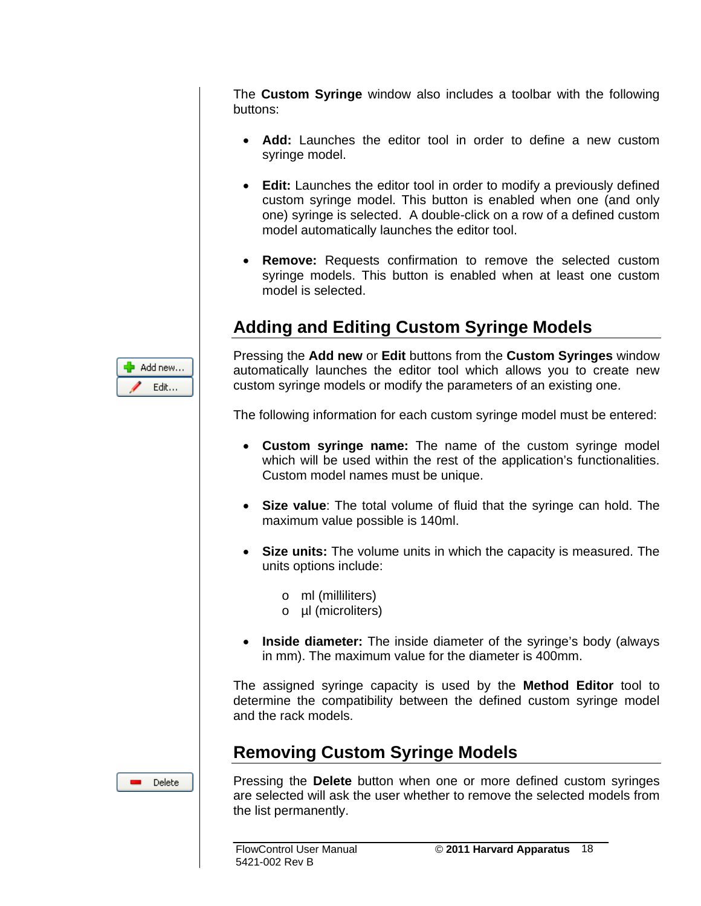The **Custom Syringe** window also includes a toolbar with the following buttons:

- **Add:** Launches the editor tool in order to define a new custom syringe model.
- **Edit:** Launches the editor tool in order to modify a previously defined custom syringe model. This button is enabled when one (and only one) syringe is selected. A double-click on a row of a defined custom model automatically launches the editor tool.
- **Remove:** Requests confirmation to remove the selected custom syringe models. This button is enabled when at least one custom model is selected.

#### **Adding and Editing Custom Syringe Models**



Pressing the **Add new** or **Edit** buttons from the **Custom Syringes** window automatically launches the editor tool which allows you to create new custom syringe models or modify the parameters of an existing one.

The following information for each custom syringe model must be entered:

- **Custom syringe name:** The name of the custom syringe model which will be used within the rest of the application's functionalities. Custom model names must be unique.
- **Size value**: The total volume of fluid that the syringe can hold. The maximum value possible is 140ml.
- **Size units:** The volume units in which the capacity is measured. The units options include:
	- o ml (milliliters)
	- o µl (microliters)
- **Inside diameter:** The inside diameter of the syringe's body (always in mm). The maximum value for the diameter is 400mm.

The assigned syringe capacity is used by the **Method Editor** tool to determine the compatibility between the defined custom syringe model and the rack models.

#### **Removing Custom Syringe Models**



Pressing the **Delete** button when one or more defined custom syringes are selected will ask the user whether to remove the selected models from the list permanently.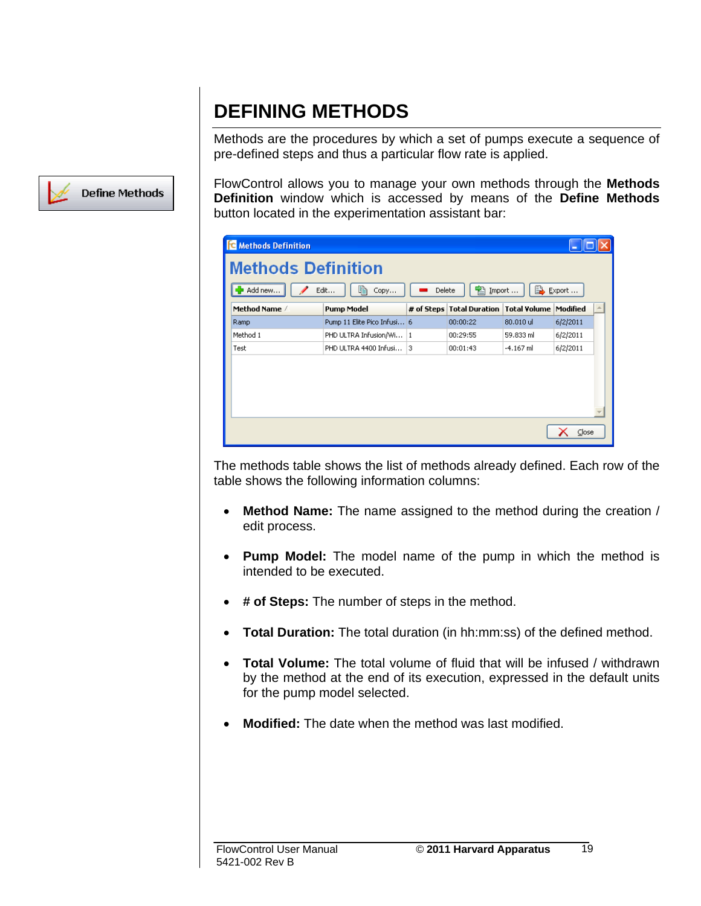### **DEFINING METHODS**

Methods are the procedures by which a set of pumps execute a sequence of pre-defined steps and thus a particular flow rate is applied.

FlowControl allows you to manage your own methods through the **Methods Definition** window which is accessed by means of the **Define Methods** button located in the experimentation assistant bar:

The methods table shows the list of methods already defined. Each row of the table shows the following information columns:

- **Method Name:** The name assigned to the method during the creation / edit process.
- **Pump Model:** The model name of the pump in which the method is intended to be executed.
- **# of Steps:** The number of steps in the method.
- **Total Duration:** The total duration (in hh:mm:ss) of the defined method.
- **Total Volume:** The total volume of fluid that will be infused / withdrawn by the method at the end of its execution, expressed in the default units for the pump model selected.
- **Modified:** The date when the method was last modified.

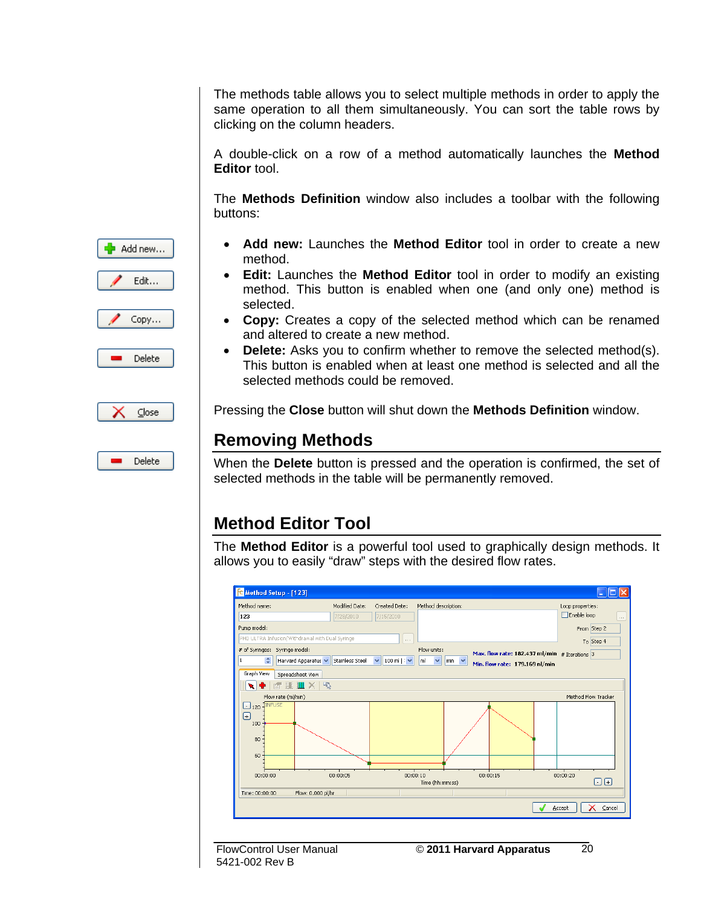The methods table allows you to select multiple methods in order to apply the same operation to all them simultaneously. You can sort the table rows by clicking on the column headers.

A double-click on a row of a method automatically launches the **Method Editor** tool.

The **Methods Definition** window also includes a toolbar with the following buttons:

- Add new... Edit... Copy... Delete  $\subseteq$ lose Delete
- **Add new:** Launches the **Method Editor** tool in order to create a new method.
- **Edit:** Launches the **Method Editor** tool in order to modify an existing method. This button is enabled when one (and only one) method is selected.
- **Copy:** Creates a copy of the selected method which can be renamed and altered to create a new method.
- **Delete:** Asks you to confirm whether to remove the selected method(s). This button is enabled when at least one method is selected and all the selected methods could be removed.

Pressing the **Close** button will shut down the **Methods Definition** window.

#### **Removing Methods**

When the **Delete** button is pressed and the operation is confirmed, the set of selected methods in the table will be permanently removed.

#### **Method Editor Tool**

The **Method Editor** is a powerful tool used to graphically design methods. It allows you to easily "draw" steps with the desired flow rates.



5421-002 Rev B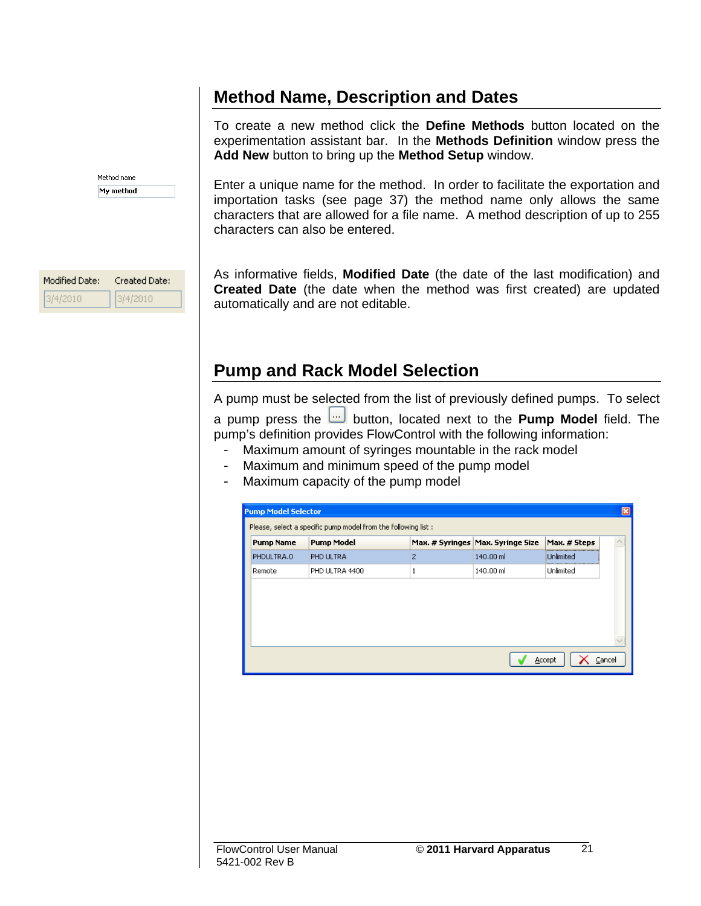#### **Method Name, Description and Dates**

Method name My method

Created Date:

3/4/2010

Modified Date:

3/4/2010

To create a new method click the **Define Methods** button located on the experimentation assistant bar. In the **Methods Definition** window press the **Add New** button to bring up the **Method Setup** window.

Enter a unique name for the method. In order to facilitate the exportation and importation tasks (see page 37) the method name only allows the same characters that are allowed for a file name. A method description of up to 255 characters can also be entered.

As informative fields, **Modified Date** (the date of the last modification) and **Created Date** (the date when the method was first created) are updated automatically and are not editable.

#### **Pump and Rack Model Selection**

A pump must be selected from the list of previously defined pumps. To select a pump press the button, located next to the **Pump Model** field. The pump's definition provides FlowControl with the following information:

- Maximum amount of syringes mountable in the rack model
- Maximum and minimum speed of the pump model
- Maximum capacity of the pump model

| <b>Pump Model Selector</b> |                                                                |   |                                     |              |        |
|----------------------------|----------------------------------------------------------------|---|-------------------------------------|--------------|--------|
|                            | Please, select a specific pump model from the following list : |   |                                     |              |        |
| <b>Pump Name</b>           | <b>Pump Model</b>                                              |   | Max. # Syringes   Max. Syringe Size | Max. # Steps |        |
| PHDULTRA.0                 | PHD ULTRA                                                      | 2 | 140.00 ml                           | Unlimited    |        |
| Remote                     | PHD ULTRA 4400                                                 | 1 | 140.00 ml                           | Unlimited    |        |
|                            |                                                                |   |                                     |              |        |
|                            |                                                                |   |                                     |              |        |
|                            |                                                                |   |                                     | Accept       | Cancel |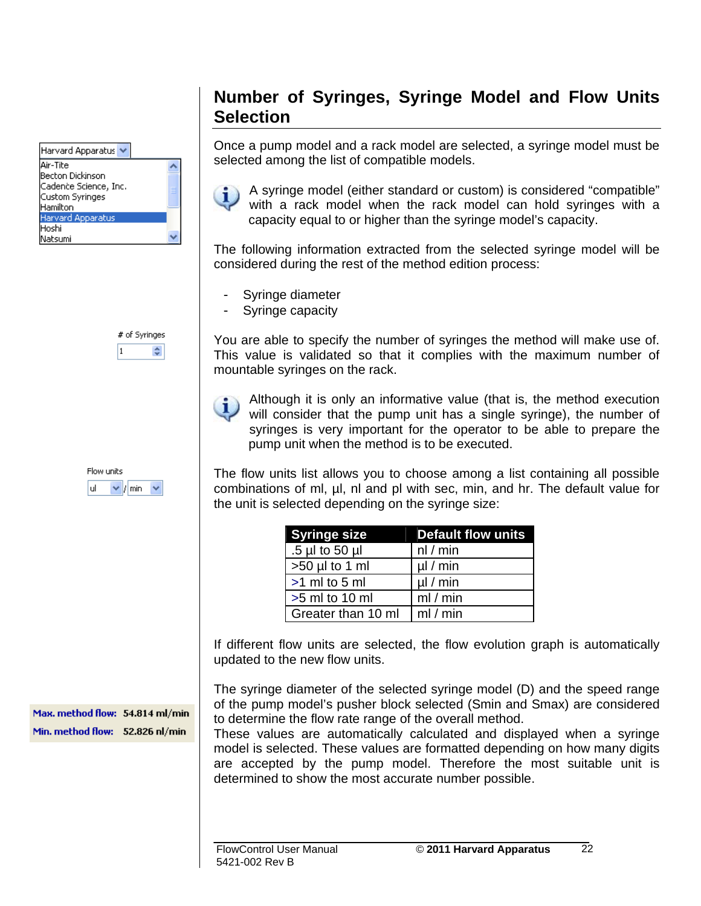| Harvard Apparatus     |  |
|-----------------------|--|
| Air-Tite              |  |
| Becton Dickinson      |  |
| Cadence Science, Inc. |  |
| Custom Syringes       |  |
| Hamilton              |  |
| Harvard Apparatus     |  |
| Hoshi                 |  |
| Natsumi               |  |

# of Syringes ÷

Flow units uL  $\vee$  / min

Max. method flow: 54.814 ml/min Min. method flow: 52.826 nl/min

#### **Number of Syringes, Syringe Model and Flow Units Selection**

Once a pump model and a rack model are selected, a syringe model must be selected among the list of compatible models.



A syringe model (either standard or custom) is considered "compatible" with a rack model when the rack model can hold syringes with a capacity equal to or higher than the syringe model's capacity.

The following information extracted from the selected syringe model will be considered during the rest of the method edition process:

- Syringe diameter
- Syringe capacity

You are able to specify the number of syringes the method will make use of. This value is validated so that it complies with the maximum number of mountable syringes on the rack.

Although it is only an informative value (that is, the method execution will consider that the pump unit has a single syringe), the number of syringes is very important for the operator to be able to prepare the pump unit when the method is to be executed.

The flow units list allows you to choose among a list containing all possible combinations of ml, µl, nl and pl with sec, min, and hr. The default value for the unit is selected depending on the syringe size:

| <b>Syringe size</b> | <b>Default flow units</b> |
|---------------------|---------------------------|
| .5 µl to 50 µl      | nl/min                    |
| $>50$ µl to 1 ml    | $\mu$ / min               |
| $>1$ ml to 5 ml     | $\mu$ / min               |
| $>5$ ml to 10 ml    | ml/min                    |
| Greater than 10 ml  | ml/min                    |

If different flow units are selected, the flow evolution graph is automatically updated to the new flow units.

The syringe diameter of the selected syringe model (D) and the speed range of the pump model's pusher block selected (Smin and Smax) are considered to determine the flow rate range of the overall method.

These values are automatically calculated and displayed when a syringe model is selected. These values are formatted depending on how many digits are accepted by the pump model. Therefore the most suitable unit is determined to show the most accurate number possible.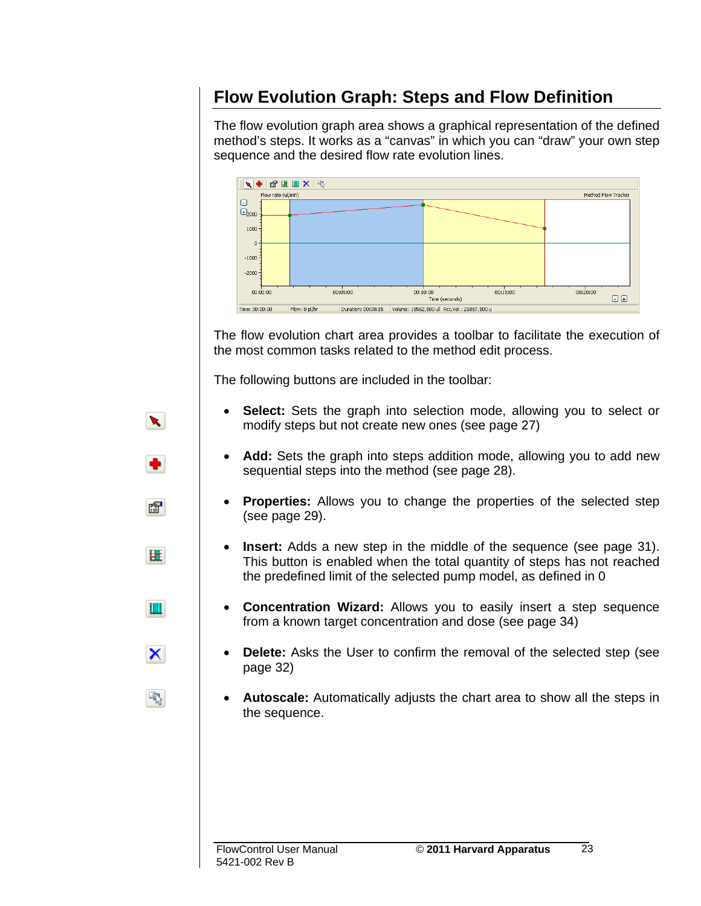### **Flow Evolution Graph: Steps and Flow Definition**

The flow evolution graph area shows a graphical representation of the defined method's steps. It works as a "canvas" in which you can "draw" your own step sequence and the desired flow rate evolution lines.



The flow evolution chart area provides a toolbar to facilitate the execution of the most common tasks related to the method edit process.

The following buttons are included in the toolbar:

- **Select:** Sets the graph into selection mode, allowing you to select or modify steps but not create new ones (see page 27)
- **Add:** Sets the graph into steps addition mode, allowing you to add new sequential steps into the method (see page 28).
- **Properties:** Allows you to change the properties of the selected step (see page 29).
- **Insert:** Adds a new step in the middle of the sequence (see page 31). This button is enabled when the total quantity of steps has not reached the predefined limit of the selected pump model, as defined in 0
- **Concentration Wizard:** Allows you to easily insert a step sequence from a known target concentration and dose (see page 34)
- **Delete:** Asks the User to confirm the removal of the selected step (see page 32)
- **Autoscale:** Automatically adjusts the chart area to show all the steps in the sequence.

 $\mathbf{x}$ 

图

財

H

×

雨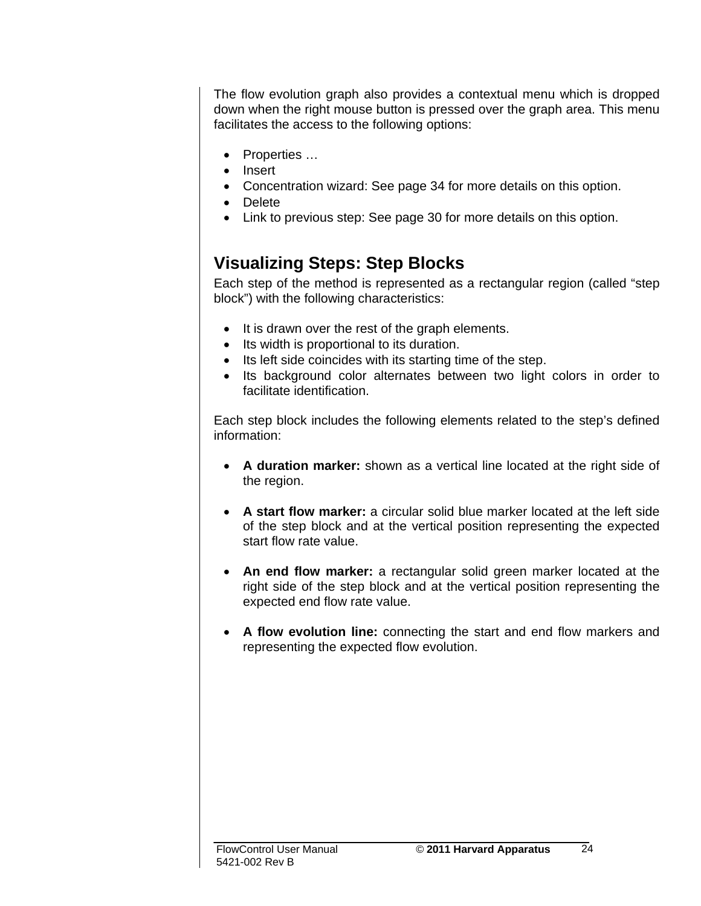The flow evolution graph also provides a contextual menu which is dropped down when the right mouse button is pressed over the graph area. This menu facilitates the access to the following options:

- Properties …
- Insert
- Concentration wizard: See page 34 for more details on this option.
- Delete
- Link to previous step: See page 30 for more details on this option.

#### **Visualizing Steps: Step Blocks**

Each step of the method is represented as a rectangular region (called "step block") with the following characteristics:

- It is drawn over the rest of the graph elements.
- Its width is proportional to its duration.
- Its left side coincides with its starting time of the step.
- Its background color alternates between two light colors in order to facilitate identification.

Each step block includes the following elements related to the step's defined information:

- **A duration marker:** shown as a vertical line located at the right side of the region.
- **A start flow marker:** a circular solid blue marker located at the left side of the step block and at the vertical position representing the expected start flow rate value.
- **An end flow marker:** a rectangular solid green marker located at the right side of the step block and at the vertical position representing the expected end flow rate value.
- **A flow evolution line:** connecting the start and end flow markers and representing the expected flow evolution.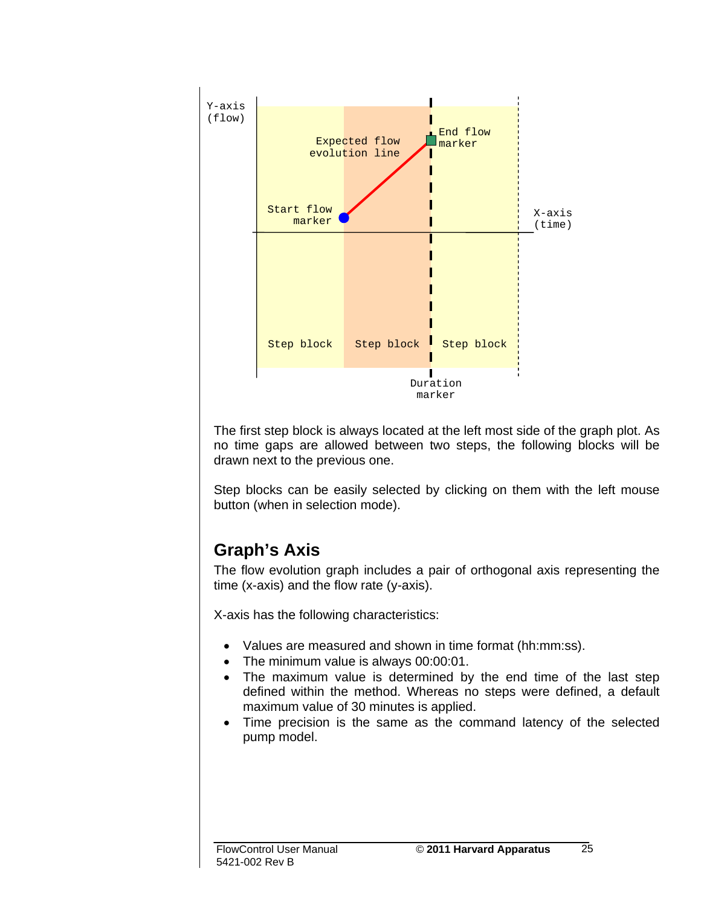

The first step block is always located at the left most side of the graph plot. As no time gaps are allowed between two steps, the following blocks will be drawn next to the previous one.

Step blocks can be easily selected by clicking on them with the left mouse button (when in selection mode).

### **Graph's Axis**

The flow evolution graph includes a pair of orthogonal axis representing the time (x-axis) and the flow rate (y-axis).

X-axis has the following characteristics:

- Values are measured and shown in time format (hh:mm:ss).
- The minimum value is always 00:00:01.
- The maximum value is determined by the end time of the last step defined within the method. Whereas no steps were defined, a default maximum value of 30 minutes is applied.
- Time precision is the same as the command latency of the selected pump model.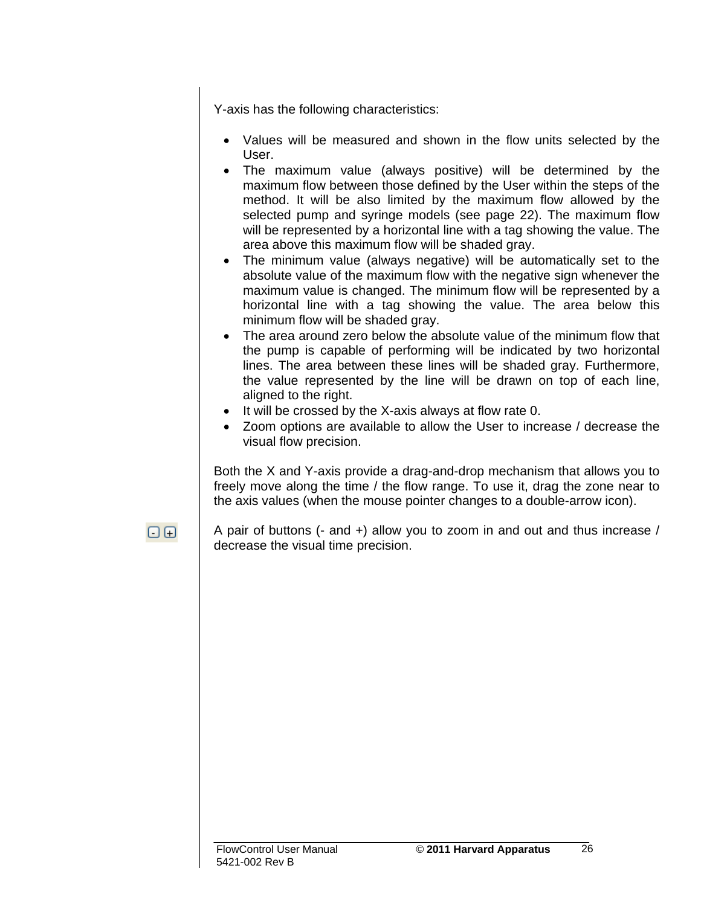Y-axis has the following characteristics:

- Values will be measured and shown in the flow units selected by the User.
- The maximum value (always positive) will be determined by the maximum flow between those defined by the User within the steps of the method. It will be also limited by the maximum flow allowed by the selected pump and syringe models (see page 22). The maximum flow will be represented by a horizontal line with a tag showing the value. The area above this maximum flow will be shaded gray.
- The minimum value (always negative) will be automatically set to the absolute value of the maximum flow with the negative sign whenever the maximum value is changed. The minimum flow will be represented by a horizontal line with a tag showing the value. The area below this minimum flow will be shaded gray.
- The area around zero below the absolute value of the minimum flow that the pump is capable of performing will be indicated by two horizontal lines. The area between these lines will be shaded gray. Furthermore, the value represented by the line will be drawn on top of each line, aligned to the right.
- It will be crossed by the X-axis always at flow rate 0.
- Zoom options are available to allow the User to increase / decrease the visual flow precision.

Both the X and Y-axis provide a drag-and-drop mechanism that allows you to freely move along the time / the flow range. To use it, drag the zone near to the axis values (when the mouse pointer changes to a double-arrow icon).

 $\boxdot$   $\boxdot$ 

A pair of buttons (- and +) allow you to zoom in and out and thus increase / decrease the visual time precision.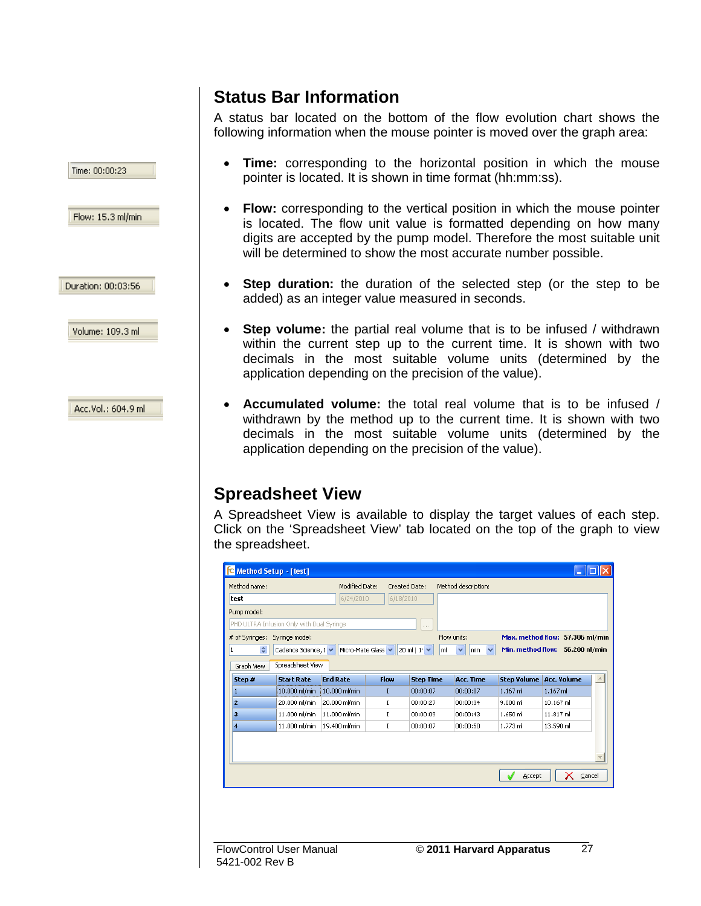#### **Status Bar Information**

Time: 00:00:23

Flow: 15.3 ml/min

Duration: 00:03:56

Volume: 109.3 ml

Acc.Vol.: 604.9 ml

A status bar located on the bottom of the flow evolution chart shows the following information when the mouse pointer is moved over the graph area:

- **Time:** corresponding to the horizontal position in which the mouse pointer is located. It is shown in time format (hh:mm:ss).
- **Flow:** corresponding to the vertical position in which the mouse pointer is located. The flow unit value is formatted depending on how many digits are accepted by the pump model. Therefore the most suitable unit will be determined to show the most accurate number possible.
- **Step duration:** the duration of the selected step (or the step to be added) as an integer value measured in seconds.
- **Step volume:** the partial real volume that is to be infused / withdrawn within the current step up to the current time. It is shown with two decimals in the most suitable volume units (determined by the application depending on the precision of the value).
- **Accumulated volume:** the total real volume that is to be infused / withdrawn by the method up to the current time. It is shown with two decimals in the most suitable volume units (determined by the application depending on the precision of the value).

#### **Spreadsheet View**

A Spreadsheet View is available to display the target values of each step. Click on the 'Spreadsheet View' tab located on the top of the graph to view the spreadsheet.

| 6/24/2010<br>6/18/2010<br>PHD ULTRA Infusion Only with Dual Syringe<br>1.11<br>Max. method flow: 57.306 ml/min<br>Flow units:<br>Syringe model:<br>÷<br>Min. method flow: 56.280 nl/min<br>Micro-Mate Glass<br>Cadence Science, 1 V<br>$20 \text{ ml}$   $1 \text{ v}$<br>$\overline{\mathbf{v}}$<br>Iml<br>min<br>v<br>Spreadsheet View<br><b>Acc. Volume</b><br><b>End Rate</b><br>Flow<br><b>Step Time</b><br><b>Acc. Time</b><br><b>Step Volume</b><br><b>Start Rate</b><br>10.000 ml/min<br>10.000 ml/min<br>$1.167$ m<br>1.167 ml<br>00:00:07<br>00:00:07<br>I<br>20.000 ml/min<br>20.000 ml/min<br>9.000 ml<br>10.167 ml<br>I<br>00:00:27<br>00:00:34<br>11.000 ml/min<br>11.000 ml/min<br>1.650 ml<br>11.817 ml<br>00:00:09<br>00:00:43<br>I<br>11.000 ml/min<br>19.400 ml/min<br>00:00:07<br>00:00:50<br>1.773 ml<br>13.590 ml<br>I | Method name:   | Modified Date: | Created Date: | Method description: |  |  |
|----------------------------------------------------------------------------------------------------------------------------------------------------------------------------------------------------------------------------------------------------------------------------------------------------------------------------------------------------------------------------------------------------------------------------------------------------------------------------------------------------------------------------------------------------------------------------------------------------------------------------------------------------------------------------------------------------------------------------------------------------------------------------------------------------------------------------------------------|----------------|----------------|---------------|---------------------|--|--|
|                                                                                                                                                                                                                                                                                                                                                                                                                                                                                                                                                                                                                                                                                                                                                                                                                                              | test           |                |               |                     |  |  |
|                                                                                                                                                                                                                                                                                                                                                                                                                                                                                                                                                                                                                                                                                                                                                                                                                                              | Pump model:    |                |               |                     |  |  |
|                                                                                                                                                                                                                                                                                                                                                                                                                                                                                                                                                                                                                                                                                                                                                                                                                                              |                |                |               |                     |  |  |
|                                                                                                                                                                                                                                                                                                                                                                                                                                                                                                                                                                                                                                                                                                                                                                                                                                              | # of Syringes: |                |               |                     |  |  |
|                                                                                                                                                                                                                                                                                                                                                                                                                                                                                                                                                                                                                                                                                                                                                                                                                                              | $\mathbf{1}$   |                |               |                     |  |  |
|                                                                                                                                                                                                                                                                                                                                                                                                                                                                                                                                                                                                                                                                                                                                                                                                                                              | Graph View     |                |               |                     |  |  |
|                                                                                                                                                                                                                                                                                                                                                                                                                                                                                                                                                                                                                                                                                                                                                                                                                                              | Step #         |                |               |                     |  |  |
|                                                                                                                                                                                                                                                                                                                                                                                                                                                                                                                                                                                                                                                                                                                                                                                                                                              |                |                |               |                     |  |  |
|                                                                                                                                                                                                                                                                                                                                                                                                                                                                                                                                                                                                                                                                                                                                                                                                                                              | $\overline{2}$ |                |               |                     |  |  |
|                                                                                                                                                                                                                                                                                                                                                                                                                                                                                                                                                                                                                                                                                                                                                                                                                                              | 3              |                |               |                     |  |  |
|                                                                                                                                                                                                                                                                                                                                                                                                                                                                                                                                                                                                                                                                                                                                                                                                                                              |                |                |               |                     |  |  |
|                                                                                                                                                                                                                                                                                                                                                                                                                                                                                                                                                                                                                                                                                                                                                                                                                                              |                |                |               |                     |  |  |
|                                                                                                                                                                                                                                                                                                                                                                                                                                                                                                                                                                                                                                                                                                                                                                                                                                              |                |                |               |                     |  |  |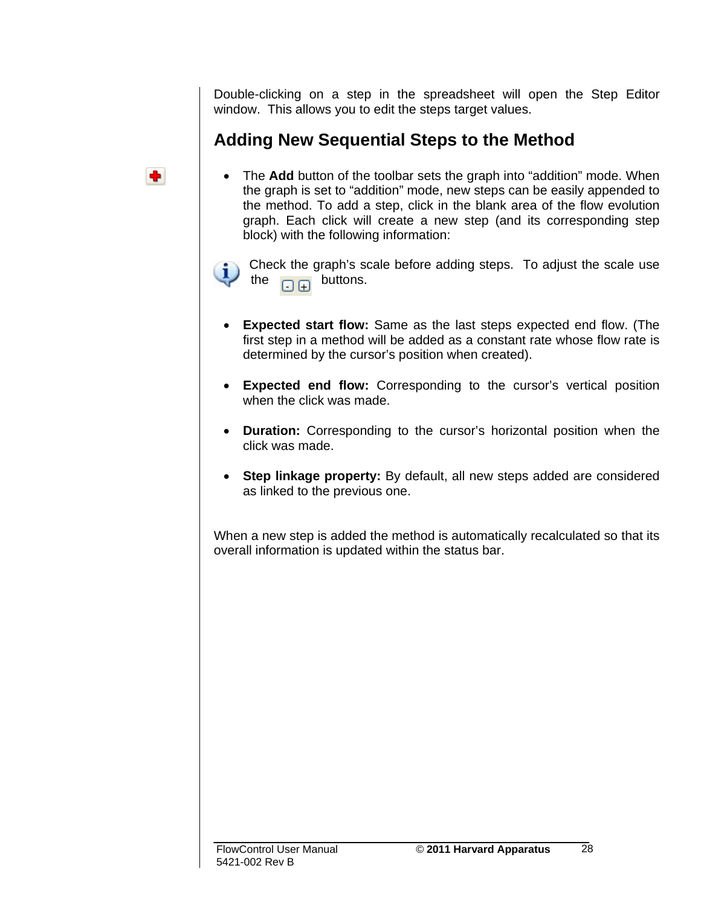Double-clicking on a step in the spreadsheet will open the Step Editor window. This allows you to edit the steps target values.

#### **Adding New Sequential Steps to the Method**

• The **Add** button of the toolbar sets the graph into "addition" mode. When the graph is set to "addition" mode, new steps can be easily appended to the method. To add a step, click in the blank area of the flow evolution graph. Each click will create a new step (and its corresponding step block) with the following information:



Check the graph's scale before adding steps. To adjust the scale use the  $\Box$  $\Box$  buttons.

- **Expected start flow:** Same as the last steps expected end flow. (The first step in a method will be added as a constant rate whose flow rate is determined by the cursor's position when created).
- **Expected end flow:** Corresponding to the cursor's vertical position when the click was made.
- **Duration:** Corresponding to the cursor's horizontal position when the click was made.
- **Step linkage property:** By default, all new steps added are considered as linked to the previous one.

When a new step is added the method is automatically recalculated so that its overall information is updated within the status bar.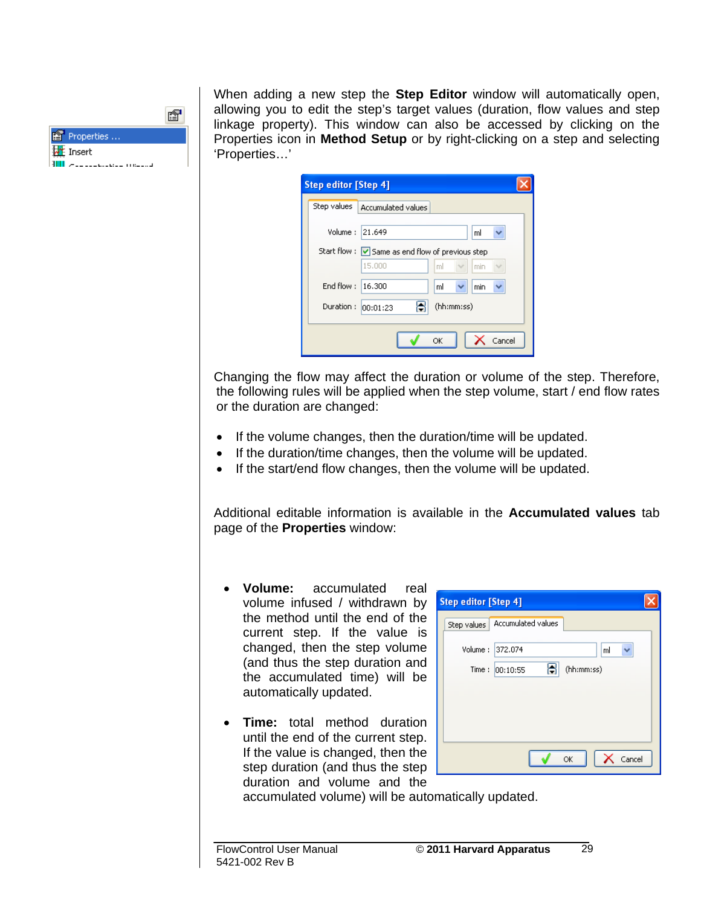| Properties                                     |  |
|------------------------------------------------|--|
| ₩ Insert                                       |  |
| وأستمر سيتنا فالمسترد والمرابيع<br>$- - - - -$ |  |

When adding a new step the **Step Editor** window will automatically open, allowing you to edit the step's target values (duration, flow values and step linkage property). This window can also be accessed by clicking on the Properties icon in **Method Setup** or by right-clicking on a step and selecting 'Properties…'

| <b>Step editor [Step 4]</b> |                                                  |        |
|-----------------------------|--------------------------------------------------|--------|
| Step values                 | Accumulated values                               |        |
| Volume:                     | 21.649<br>ml                                     |        |
|                             | Start flow : V Same as end flow of previous step |        |
|                             | 15,000<br>ml<br>min                              |        |
| End flow:                   | 16,300<br>ml<br>min<br>×.                        |        |
| Duration:                   | (hh:mm:ss)<br> 00:01:23                          |        |
|                             |                                                  |        |
|                             | ОК                                               | Cancel |
|                             |                                                  |        |

Changing the flow may affect the duration or volume of the step. Therefore, the following rules will be applied when the step volume, start / end flow rates or the duration are changed:

- If the volume changes, then the duration/time will be updated.
- If the duration/time changes, then the volume will be updated.
- If the start/end flow changes, then the volume will be updated.

Additional editable information is available in the **Accumulated values** tab page of the **Properties** window:

- **Volume:** accumulated real volume infused / withdrawn by the method until the end of the current step. If the value is changed, then the step volume (and thus the step duration and the accumulated time) will be automatically updated.
- **Time:** total method duration until the end of the current step. If the value is changed, then the step duration (and thus the step duration and volume and the

| <b>Step editor [Step 4]</b>      |  |
|----------------------------------|--|
| Step values   Accumulated values |  |
| Volume:<br>372.074<br>ml         |  |
| (hh:mm:ss)<br>Time:<br>00:10:55  |  |
|                                  |  |
|                                  |  |
|                                  |  |
| Cancel<br>ОK                     |  |

accumulated volume) will be automatically updated.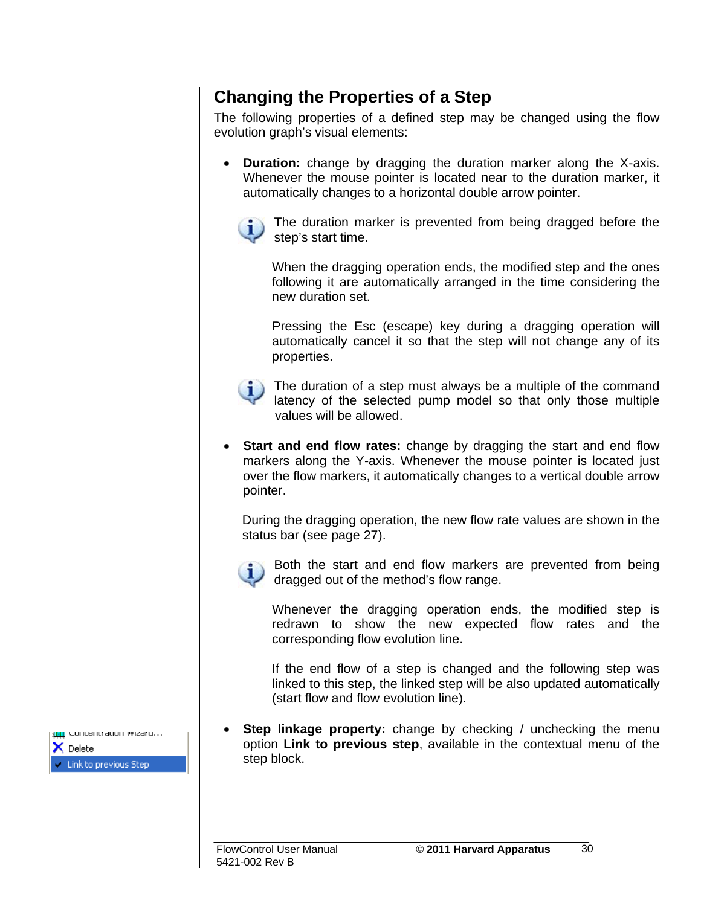#### **Changing the Properties of a Step**

The following properties of a defined step may be changed using the flow evolution graph's visual elements:

• **Duration:** change by dragging the duration marker along the X-axis. Whenever the mouse pointer is located near to the duration marker, it automatically changes to a horizontal double arrow pointer.

The duration marker is prevented from being dragged before the step's start time.

When the dragging operation ends, the modified step and the ones following it are automatically arranged in the time considering the new duration set.

Pressing the Esc (escape) key during a dragging operation will automatically cancel it so that the step will not change any of its properties.

The duration of a step must always be a multiple of the command latency of the selected pump model so that only those multiple values will be allowed.

**Start and end flow rates:** change by dragging the start and end flow markers along the Y-axis. Whenever the mouse pointer is located just over the flow markers, it automatically changes to a vertical double arrow pointer.

During the dragging operation, the new flow rate values are shown in the status bar (see page 27).

Both the start and end flow markers are prevented from being dragged out of the method's flow range.

Whenever the dragging operation ends, the modified step is redrawn to show the new expected flow rates and the corresponding flow evolution line.

If the end flow of a step is changed and the following step was linked to this step, the linked step will be also updated automatically (start flow and flow evolution line).

• **Step linkage property:** change by checking / unchecking the menu option **Link to previous step**, available in the contextual menu of the step block.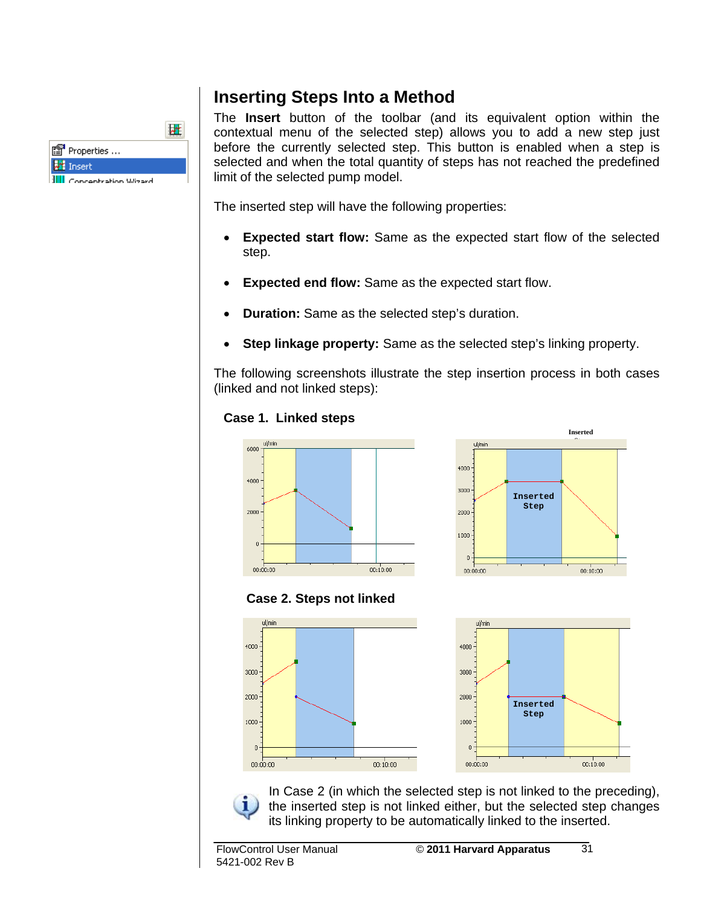| 图 Properties                    |  |
|---------------------------------|--|
| <b>We</b> Insert                |  |
| <b>III</b> Conceptration Wizard |  |

#### **Inserting Steps Into a Method**

The **Insert** button of the toolbar (and its equivalent option within the contextual menu of the selected step) allows you to add a new step just before the currently selected step. This button is enabled when a step is selected and when the total quantity of steps has not reached the predefined limit of the selected pump model.

The inserted step will have the following properties:

- **Expected start flow:** Same as the expected start flow of the selected step.
- **Expected end flow:** Same as the expected start flow.
- **Duration:** Same as the selected step's duration.
- **Step linkage property:** Same as the selected step's linking property.

The following screenshots illustrate the step insertion process in both cases (linked and not linked steps):











In Case 2 (in which the selected step is not linked to the preceding), the inserted step is not linked either, but the selected step changes its linking property to be automatically linked to the inserted.

 $\overline{31}$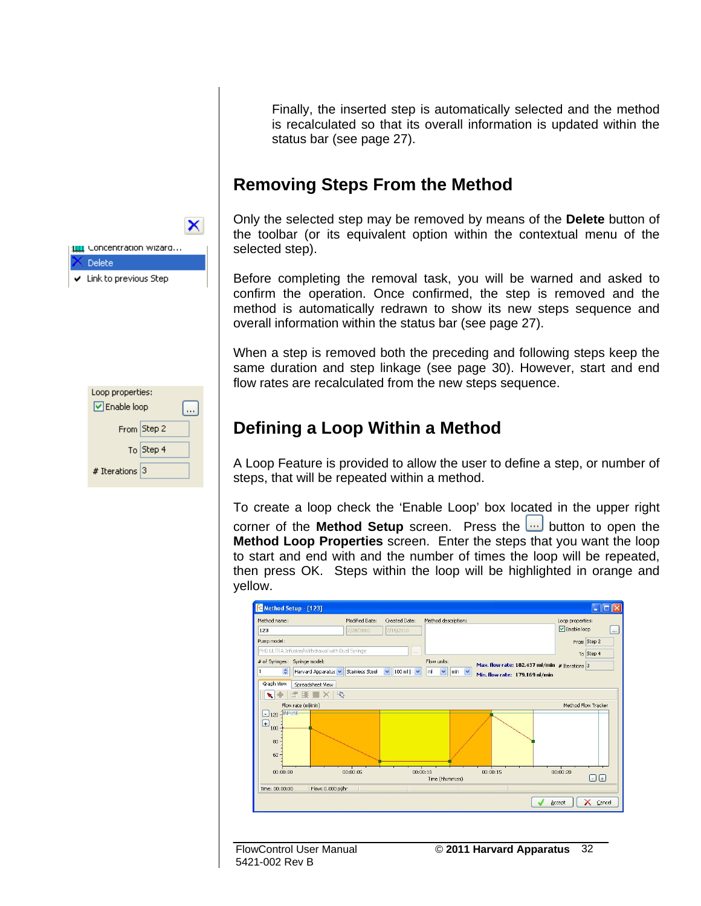Finally, the inserted step is automatically selected and the method is recalculated so that its overall information is updated within the status bar (see page 27).

#### **Removing Steps From the Method**

Only the selected step may be removed by means of the **Delete** button of the toolbar (or its equivalent option within the contextual menu of the selected step).

Before completing the removal task, you will be warned and asked to confirm the operation. Once confirmed, the step is removed and the method is automatically redrawn to show its new steps sequence and overall information within the status bar (see page 27).

When a step is removed both the preceding and following steps keep the same duration and step linkage (see page 30). However, start and end flow rates are recalculated from the new steps sequence.

#### **Defining a Loop Within a Method**

A Loop Feature is provided to allow the user to define a step, or number of steps, that will be repeated within a method.

To create a loop check the 'Enable Loop' box located in the upper right corner of the **Method Setup** screen. Press the **button to open the Method Loop Properties** screen. Enter the steps that you want the loop to start and end with and the number of times the loop will be repeated, then press OK. Steps within the loop will be highlighted in orange and yellow.



5421-002 Rev B



| Loop properties:<br><b>▽</b> Enable loop |  |
|------------------------------------------|--|
| From Step 2                              |  |
| To Step 4                                |  |
| # Iterations $ 3 $                       |  |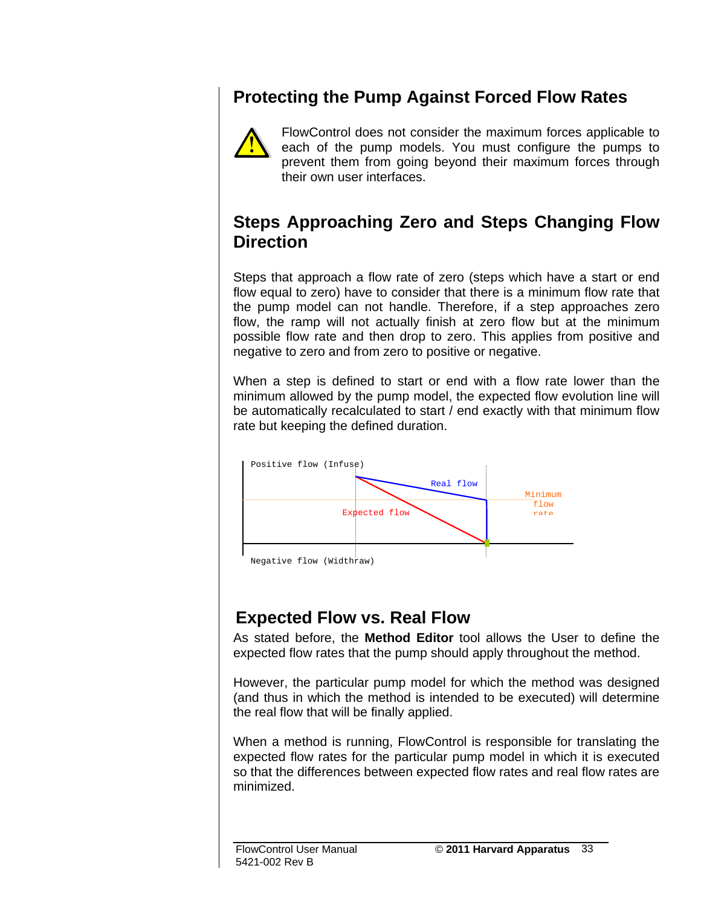### **Protecting the Pump Against Forced Flow Rates**



FlowControl does not consider the maximum forces applicable to each of the pump models. You must configure the pumps to prevent them from going beyond their maximum forces through their own user interfaces.

#### **Steps Approaching Zero and Steps Changing Flow Direction**

Steps that approach a flow rate of zero (steps which have a start or end flow equal to zero) have to consider that there is a minimum flow rate that the pump model can not handle. Therefore, if a step approaches zero flow, the ramp will not actually finish at zero flow but at the minimum possible flow rate and then drop to zero. This applies from positive and negative to zero and from zero to positive or negative.

When a step is defined to start or end with a flow rate lower than the minimum allowed by the pump model, the expected flow evolution line will be automatically recalculated to start / end exactly with that minimum flow rate but keeping the defined duration.



#### **Expected Flow vs. Real Flow**

As stated before, the **Method Editor** tool allows the User to define the expected flow rates that the pump should apply throughout the method.

However, the particular pump model for which the method was designed (and thus in which the method is intended to be executed) will determine the real flow that will be finally applied.

When a method is running, FlowControl is responsible for translating the expected flow rates for the particular pump model in which it is executed so that the differences between expected flow rates and real flow rates are minimized.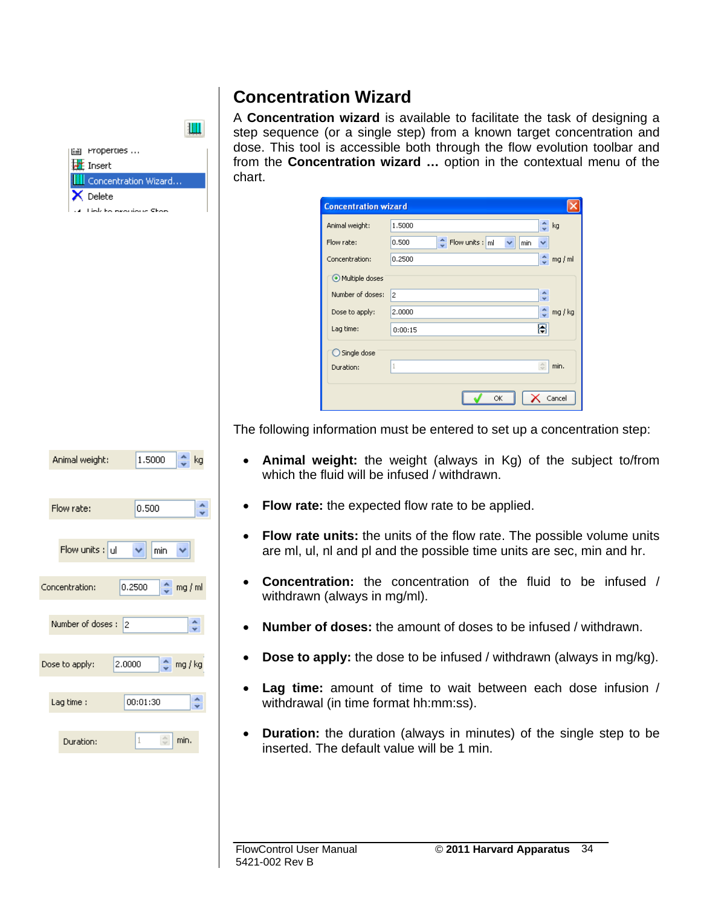#### **Concentration Wizard**

H



A **Concentration wizard** is available to facilitate the task of designing a step sequence (or a single step) from a known target concentration and dose. This tool is accessible both through the flow evolution toolbar and from the **Concentration wizard …** option in the contextual menu of the chart.

| <b>Concentration wizard</b> |                                                 |
|-----------------------------|-------------------------------------------------|
| Animal weight:              | 1,5000<br>kg                                    |
| Flow rate:                  | $bin{^4}$ Flow units : $m$<br>v<br>0.500<br>min |
| Concentration:              | ÷<br>0.2500<br>mg/ml                            |
| O Multiple doses            |                                                 |
| Number of doses:            | ٨<br>2<br>÷                                     |
| Dose to apply:              | 2.0000<br>mg / kg                               |
| Lag time:                   | 0:00:15                                         |
| $\bigcirc$ Single dose      |                                                 |
| Duration:                   | ô<br>1<br>min.                                  |
|                             |                                                 |
|                             | Cancel<br>OK                                    |

The following information must be entered to set up a concentration step:

- **Animal weight:** the weight (always in Kg) of the subject to/from which the fluid will be infused / withdrawn.
- **Flow rate:** the expected flow rate to be applied.
- **Flow rate units:** the units of the flow rate. The possible volume units are ml, ul, nl and pl and the possible time units are sec, min and hr.
- **Concentration:** the concentration of the fluid to be infused / withdrawn (always in mg/ml).
- **Number of doses:** the amount of doses to be infused / withdrawn.
- **Dose to apply:** the dose to be infused / withdrawn (always in mg/kg).
- **Lag time:** amount of time to wait between each dose infusion / withdrawal (in time format hh:mm:ss).
- **Duration:** the duration (always in minutes) of the single step to be inserted. The default value will be 1 min.

#### 0.2500 Concentration:  $2 \log/m$ Number of doses: 2 Dose to apply: 2.0000  $2 \n mg/kg$ 00:01:30  $\hat{\cdot}$ Lag time: Duration:  $\stackrel{\scriptscriptstyle\wedge}{\scriptscriptstyle\vee}$ min.

1,5000

0.500

v min  $\checkmark$ 

Animal weight:

Flow rate:

Flow units  $:$  ul

 $\frac{A}{2}$  kg

÷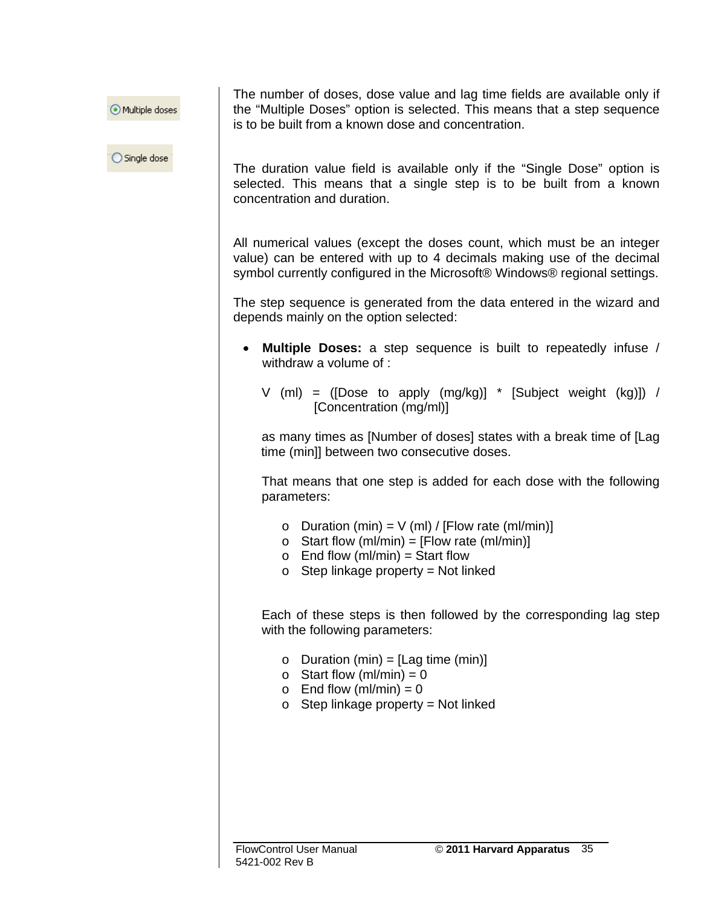Multiple doses

◯ Single dose

The number of doses, dose value and lag time fields are available only if the "Multiple Doses" option is selected. This means that a step sequence is to be built from a known dose and concentration.

The duration value field is available only if the "Single Dose" option is selected. This means that a single step is to be built from a known concentration and duration.

All numerical values (except the doses count, which must be an integer value) can be entered with up to 4 decimals making use of the decimal symbol currently configured in the Microsoft® Windows® regional settings.

The step sequence is generated from the data entered in the wizard and depends mainly on the option selected:

- **Multiple Doses:** a step sequence is built to repeatedly infuse / withdraw a volume of :
	- V (ml) = ([Dose to apply  $(mg/kg)$ ] \* [Subject weight  $(kg)$ ]) / [Concentration (mg/ml)]

as many times as [Number of doses] states with a break time of [Lag time (min]] between two consecutive doses.

That means that one step is added for each dose with the following parameters:

- $\circ$  Duration (min) = V (ml) / [Flow rate (ml/min)]
- $\circ$  Start flow (ml/min) = [Flow rate (ml/min)]
- $\circ$  End flow (ml/min) = Start flow
- $\circ$  Step linkage property = Not linked

Each of these steps is then followed by the corresponding lag step with the following parameters:

- $\circ$  Duration (min) = [Lag time (min)]
- $\circ$  Start flow (ml/min) = 0
- $\circ$  End flow (ml/min) = 0
- $\circ$  Step linkage property = Not linked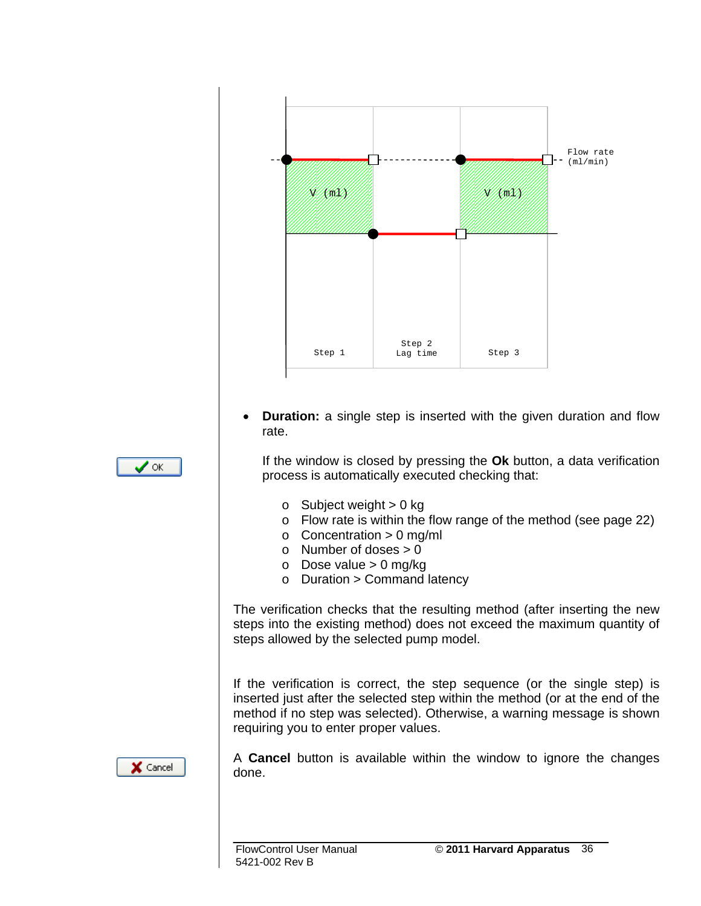

• **Duration:** a single step is inserted with the given duration and flow rate.

If the window is closed by pressing the **Ok** button, a data verification process is automatically executed checking that:

- $\circ$  Subject weight  $> 0$  kg
- o Flow rate is within the flow range of the method (see page 22)
- $\circ$  Concentration > 0 mg/ml
- $\circ$  Number of doses  $> 0$
- $\circ$  Dose value > 0 mg/kg
- $\circ$  Duration > Command latency

The verification checks that the resulting method (after inserting the new steps into the existing method) does not exceed the maximum quantity of steps allowed by the selected pump model.

If the verification is correct, the step sequence (or the single step) is inserted just after the selected step within the method (or at the end of the method if no step was selected). Otherwise, a warning message is shown requiring you to enter proper values.

A **Cancel** button is available within the window to ignore the changes done.



 $\times$  Cancel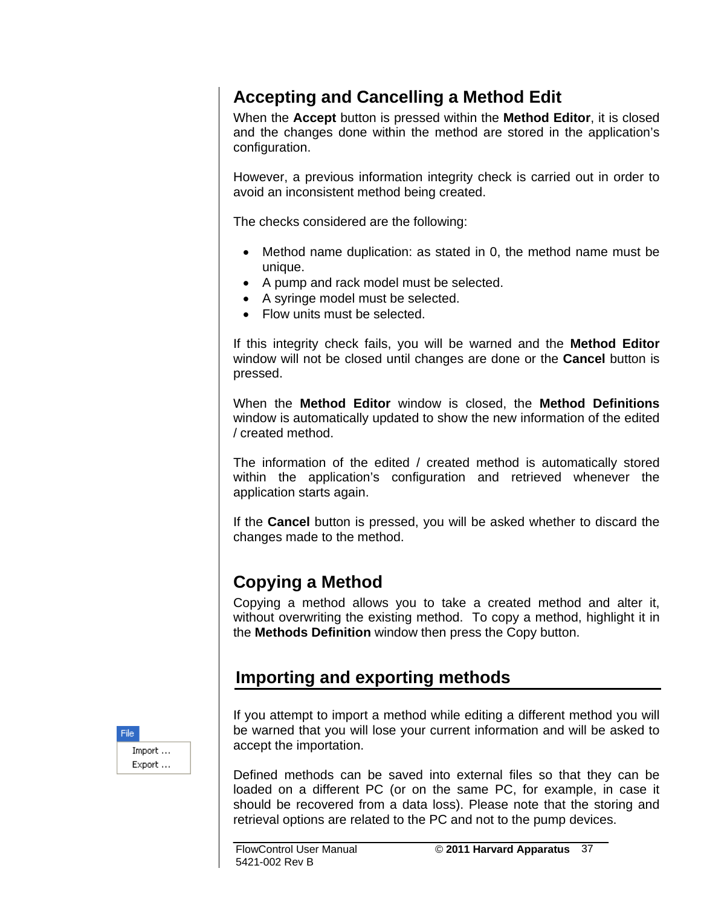#### **Accepting and Cancelling a Method Edit**

When the **Accept** button is pressed within the **Method Editor**, it is closed and the changes done within the method are stored in the application's configuration.

However, a previous information integrity check is carried out in order to avoid an inconsistent method being created.

The checks considered are the following:

- Method name duplication: as stated in 0, the method name must be unique.
- A pump and rack model must be selected.
- A syringe model must be selected.
- Flow units must be selected.

If this integrity check fails, you will be warned and the **Method Editor** window will not be closed until changes are done or the **Cancel** button is pressed.

When the **Method Editor** window is closed, the **Method Definitions** window is automatically updated to show the new information of the edited / created method.

The information of the edited / created method is automatically stored within the application's configuration and retrieved whenever the application starts again.

If the **Cancel** button is pressed, you will be asked whether to discard the changes made to the method.

#### **Copying a Method**

Copying a method allows you to take a created method and alter it, without overwriting the existing method. To copy a method, highlight it in the **Methods Definition** window then press the Copy button.

#### **Importing and exporting methods**

If you attempt to import a method while editing a different method you will be warned that you will lose your current information and will be asked to accept the importation.

Defined methods can be saved into external files so that they can be loaded on a different PC (or on the same PC, for example, in case it should be recovered from a data loss). Please note that the storing and retrieval options are related to the PC and not to the pump devices.

File: Import ... Export ...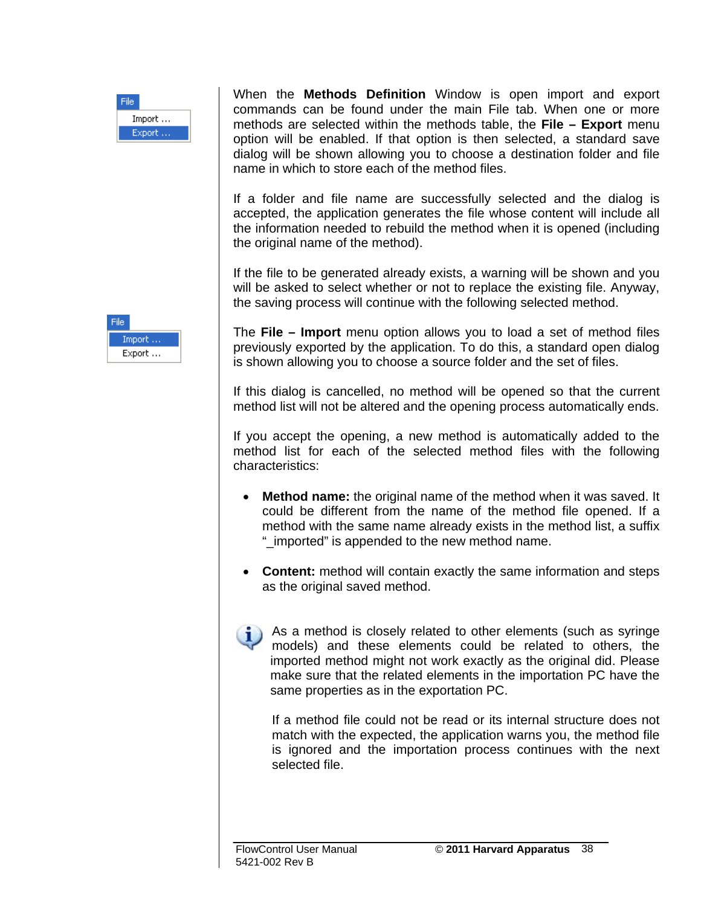

When the **Methods Definition** Window is open import and export commands can be found under the main File tab. When one or more methods are selected within the methods table, the **File – Export** menu option will be enabled. If that option is then selected, a standard save dialog will be shown allowing you to choose a destination folder and file name in which to store each of the method files.

If a folder and file name are successfully selected and the dialog is accepted, the application generates the file whose content will include all the information needed to rebuild the method when it is opened (including the original name of the method).

If the file to be generated already exists, a warning will be shown and you will be asked to select whether or not to replace the existing file. Anyway, the saving process will continue with the following selected method.



The **File – Import** menu option allows you to load a set of method files previously exported by the application. To do this, a standard open dialog is shown allowing you to choose a source folder and the set of files.

If this dialog is cancelled, no method will be opened so that the current method list will not be altered and the opening process automatically ends.

If you accept the opening, a new method is automatically added to the method list for each of the selected method files with the following characteristics:

- **Method name:** the original name of the method when it was saved. It could be different from the name of the method file opened. If a method with the same name already exists in the method list, a suffix "\_imported" is appended to the new method name.
- **Content:** method will contain exactly the same information and steps as the original saved method.



If a method file could not be read or its internal structure does not match with the expected, the application warns you, the method file is ignored and the importation process continues with the next selected file.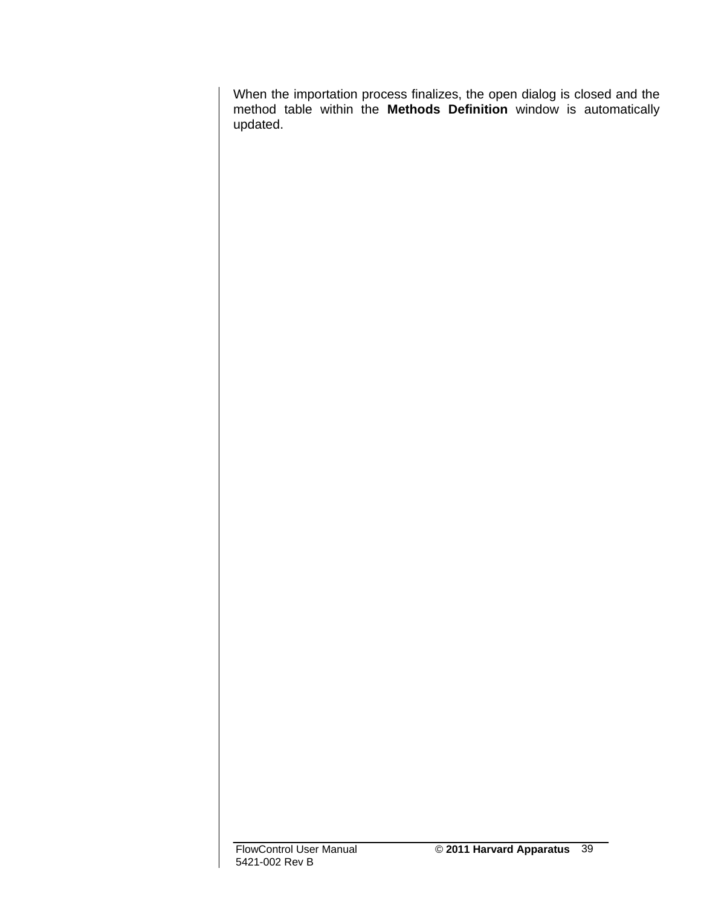When the importation process finalizes, the open dialog is closed and the method table within the **Methods Definition** window is automatically updated.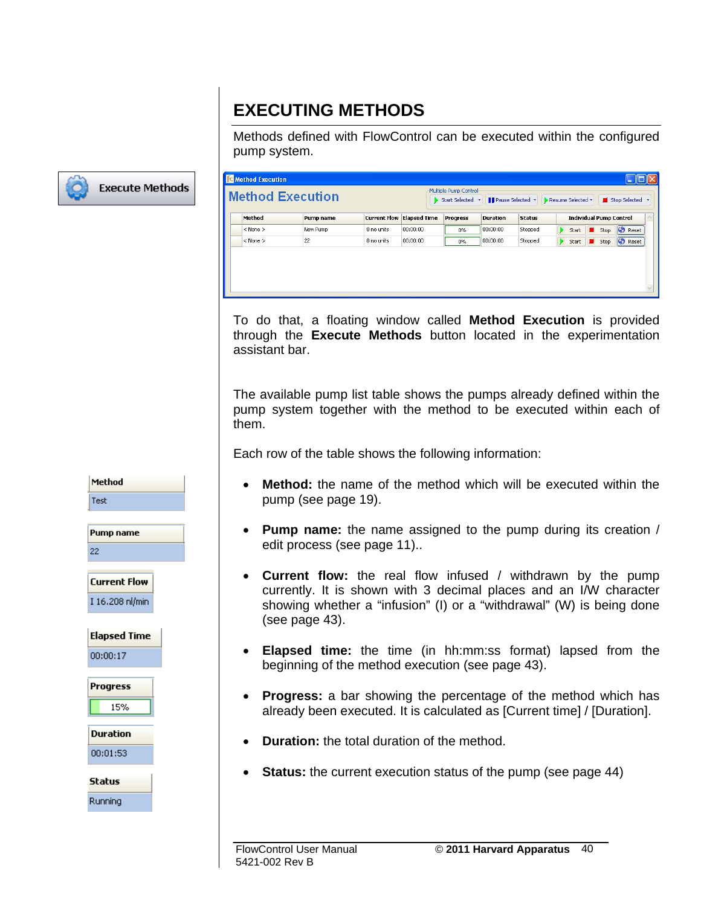### **EXECUTING METHODS**

Methods defined with FlowControl can be executed within the configured pump system.



|              | <b>Method Execution</b> |            |                                  | Start Selected * | <b>II</b> Pause Selected * |               | Resume Selected * |                                | Stop Selected * |
|--------------|-------------------------|------------|----------------------------------|------------------|----------------------------|---------------|-------------------|--------------------------------|-----------------|
| Method       | Pump name               |            | <b>Current Flow Elapsed Time</b> | Progress         | <b>Duration</b>            | <b>Status</b> |                   | <b>Individual Pump Control</b> |                 |
| $<$ None $>$ | New Pump                | 0 no units | 00:00:00                         | $0\%$            | 00:00:00                   | Stopped       | Start             | Stop                           | <b>C</b> Reset  |
| $<$ None $>$ | 22                      | 0 no units | 00:00:00                         | $0\%$            | 00:00:00                   | Stopped       | Start<br>D        | Stop<br>all <mark>y</mark> r   | <b>C</b> Reset  |

To do that, a floating window called **Method Execution** is provided through the **Execute Methods** button located in the experimentation assistant bar.

The available pump list table shows the pumps already defined within the pump system together with the method to be executed within each of them.

Each row of the table shows the following information:

- **Method:** the name of the method which will be executed within the pump (see page 19).
- **Pump name:** the name assigned to the pump during its creation / edit process (see page 11)..
- **Current flow:** the real flow infused / withdrawn by the pump currently. It is shown with 3 decimal places and an I/W character showing whether a "infusion" (I) or a "withdrawal" (W) is being done (see page 43).
- **Elapsed time:** the time (in hh:mm:ss format) lapsed from the beginning of the method execution (see page 43).
- **Progress:** a bar showing the percentage of the method which has already been executed. It is calculated as [Current time] / [Duration].
- **Duration:** the total duration of the method.
- **Status:** the current execution status of the pump (see page 44)

**Test** Pump name  $22$ **Current Flow** I 16.208 nl/min **Elapsed Time** 00:00:17 **Progress** 15% **Duration** 00:01:53 **Status** Running

Method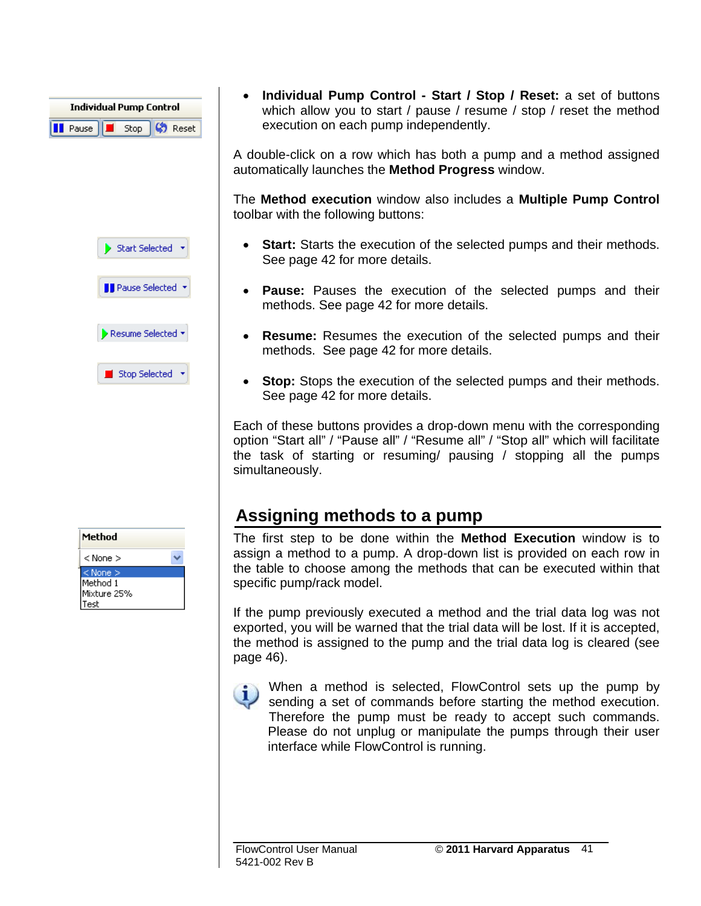| <b>Individual Pump Control</b>              |  |  |  |  |  |  |  |  |
|---------------------------------------------|--|--|--|--|--|--|--|--|
| <b>I</b> Pause <b>E</b> Stop <b>C</b> Reset |  |  |  |  |  |  |  |  |

Start Selected \*





■ Stop Selected →

Method  $<$  None  $>$  $<$  None  $>$ Method 1 Mixture 25% Test

• **Individual Pump Control - Start / Stop / Reset:** a set of buttons which allow you to start / pause / resume / stop / reset the method execution on each pump independently.

A double-click on a row which has both a pump and a method assigned automatically launches the **Method Progress** window.

The **Method execution** window also includes a **Multiple Pump Control** toolbar with the following buttons:

- **Start:** Starts the execution of the selected pumps and their methods. See page 42 for more details.
- **Pause:** Pauses the execution of the selected pumps and their methods. See page 42 for more details.
- **Resume:** Resumes the execution of the selected pumps and their methods. See page 42 for more details.
- **Stop:** Stops the execution of the selected pumps and their methods. See page 42 for more details.

Each of these buttons provides a drop-down menu with the corresponding option "Start all" / "Pause all" / "Resume all" / "Stop all" which will facilitate the task of starting or resuming/ pausing / stopping all the pumps simultaneously.

#### **Assigning methods to a pump**

The first step to be done within the **Method Execution** window is to assign a method to a pump. A drop-down list is provided on each row in the table to choose among the methods that can be executed within that specific pump/rack model.

If the pump previously executed a method and the trial data log was not exported, you will be warned that the trial data will be lost. If it is accepted, the method is assigned to the pump and the trial data log is cleared (see page 46).

When a method is selected, FlowControl sets up the pump by sending a set of commands before starting the method execution. Therefore the pump must be ready to accept such commands. Please do not unplug or manipulate the pumps through their user interface while FlowControl is running.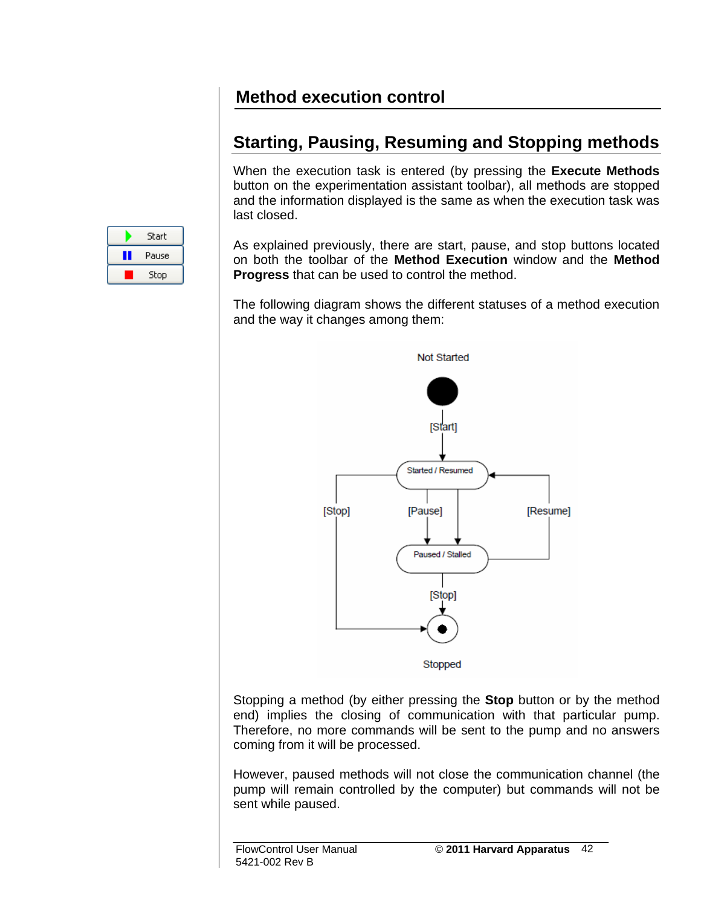#### **Method execution control**

#### **Starting, Pausing, Resuming and Stopping methods**

When the execution task is entered (by pressing the **Execute Methods** button on the experimentation assistant toolbar), all methods are stopped and the information displayed is the same as when the execution task was last closed.

|   | Start |  |
|---|-------|--|
| ı | Pause |  |
|   | Stop  |  |

As explained previously, there are start, pause, and stop buttons located on both the toolbar of the **Method Execution** window and the **Method Progress** that can be used to control the method.

The following diagram shows the different statuses of a method execution and the way it changes among them:



Stopping a method (by either pressing the **Stop** button or by the method end) implies the closing of communication with that particular pump. Therefore, no more commands will be sent to the pump and no answers coming from it will be processed.

However, paused methods will not close the communication channel (the pump will remain controlled by the computer) but commands will not be sent while paused.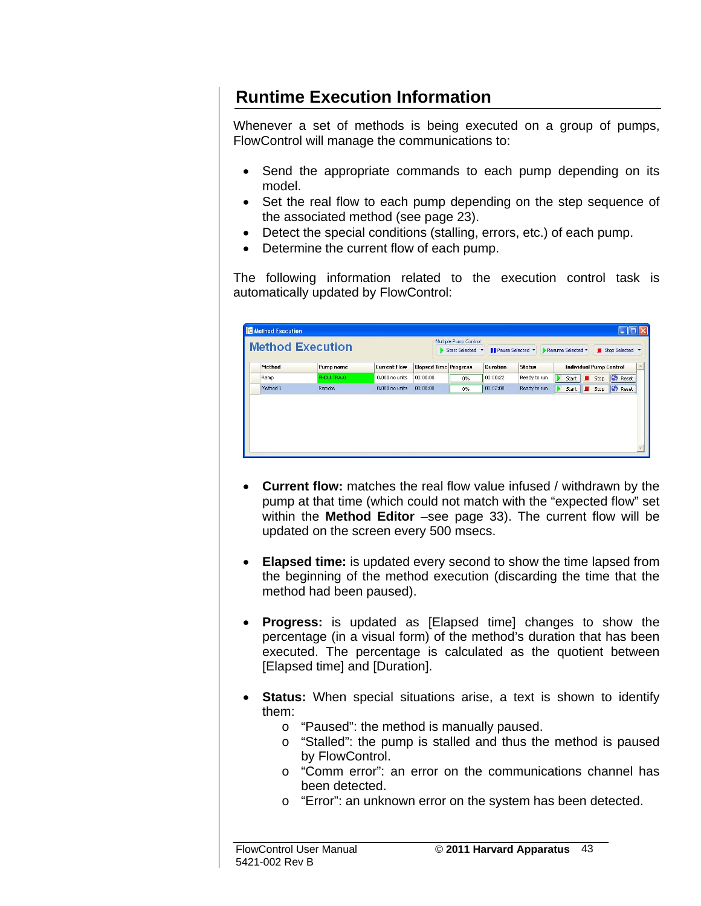#### **Runtime Execution Information**

Whenever a set of methods is being executed on a group of pumps, FlowControl will manage the communications to:

- Send the appropriate commands to each pump depending on its model.
- Set the real flow to each pump depending on the step sequence of the associated method (see page 23).
- Detect the special conditions (stalling, errors, etc.) of each pump.
- Determine the current flow of each pump.

The following information related to the execution control task is automatically updated by FlowControl:

| <b>Method Execution</b> |            |                     |                              | Multiple Pump Control<br>> Start Selected * | <b>Il Pause Selected *</b> |               | Resume Selected *              |      | Stop Selected  |
|-------------------------|------------|---------------------|------------------------------|---------------------------------------------|----------------------------|---------------|--------------------------------|------|----------------|
| Method                  | Pump name  | <b>Current Flow</b> | <b>Elapsed Time Progress</b> |                                             | <b>Duration</b>            | <b>Status</b> | <b>Individual Pump Control</b> |      |                |
| Ramp                    | PHDULTRA.0 | 0.000 no units      | 00:00:00                     | $0\%$                                       | 00:00:22                   | Ready to run  | IÞ<br>Start                    | Stop | <b>C</b> Reset |
| Method 1                | Remote     | 0.000 no units      | 00:00:00                     | $0\%$                                       | 00:02:00                   | Ready to run  | D<br>Start                     | Stop | <b>C</b> Reset |

- **Current flow:** matches the real flow value infused / withdrawn by the pump at that time (which could not match with the "expected flow" set within the **Method Editor** –see page 33). The current flow will be updated on the screen every 500 msecs.
- **Elapsed time:** is updated every second to show the time lapsed from the beginning of the method execution (discarding the time that the method had been paused).
- **Progress:** is updated as [Elapsed time] changes to show the percentage (in a visual form) of the method's duration that has been executed. The percentage is calculated as the quotient between [Elapsed time] and [Duration].
- **Status:** When special situations arise, a text is shown to identify them:
	- o "Paused": the method is manually paused.
	- o "Stalled": the pump is stalled and thus the method is paused by FlowControl.
	- o "Comm error": an error on the communications channel has been detected.
	- o "Error": an unknown error on the system has been detected.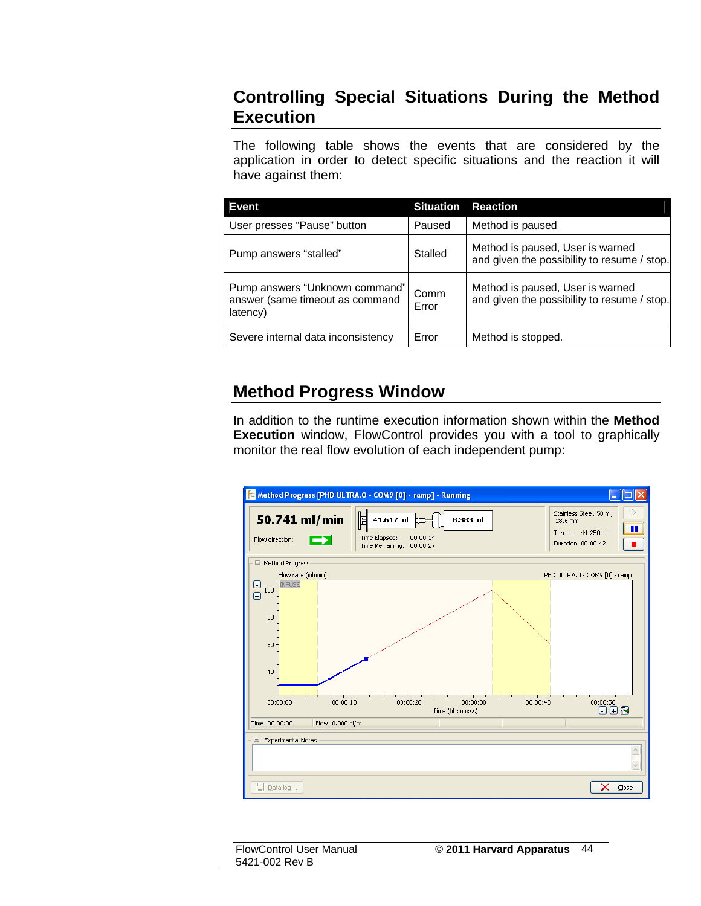#### **Controlling Special Situations During the Method Execution**

The following table shows the events that are considered by the application in order to detect specific situations and the reaction it will have against them:

| Event                                                                         | <b>Situation</b> | <b>Reaction</b>                                                                 |
|-------------------------------------------------------------------------------|------------------|---------------------------------------------------------------------------------|
| User presses "Pause" button                                                   | Paused           | Method is paused                                                                |
| Pump answers "stalled"                                                        | Stalled          | Method is paused, User is warned<br>and given the possibility to resume / stop. |
| Pump answers "Unknown command"<br>answer (same timeout as command<br>latency) | Comm<br>Error    | Method is paused, User is warned<br>and given the possibility to resume / stop. |
| Severe internal data inconsistency                                            | Error            | Method is stopped.                                                              |

#### **Method Progress Window**

In addition to the runtime execution information shown within the **Method Execution** window, FlowControl provides you with a tool to graphically monitor the real flow evolution of each independent pump:



5421-002 Rev B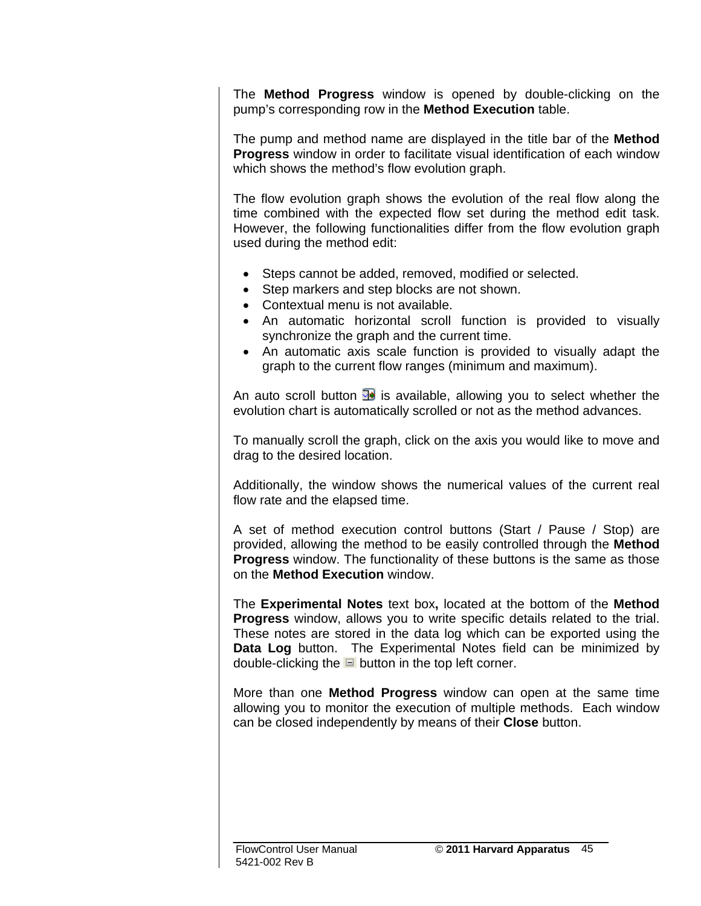The **Method Progress** window is opened by double-clicking on the pump's corresponding row in the **Method Execution** table.

The pump and method name are displayed in the title bar of the **Method Progress** window in order to facilitate visual identification of each window which shows the method's flow evolution graph.

The flow evolution graph shows the evolution of the real flow along the time combined with the expected flow set during the method edit task. However, the following functionalities differ from the flow evolution graph used during the method edit:

- Steps cannot be added, removed, modified or selected.
- Step markers and step blocks are not shown.
- Contextual menu is not available.
- An automatic horizontal scroll function is provided to visually synchronize the graph and the current time.
- An automatic axis scale function is provided to visually adapt the graph to the current flow ranges (minimum and maximum).

An auto scroll button  $\mathbb{R}^3$  is available, allowing you to select whether the evolution chart is automatically scrolled or not as the method advances.

To manually scroll the graph, click on the axis you would like to move and drag to the desired location.

Additionally, the window shows the numerical values of the current real flow rate and the elapsed time.

A set of method execution control buttons (Start / Pause / Stop) are provided, allowing the method to be easily controlled through the **Method Progress** window. The functionality of these buttons is the same as those on the **Method Execution** window.

The **Experimental Notes** text box**,** located at the bottom of the **Method Progress** window, allows you to write specific details related to the trial. These notes are stored in the data log which can be exported using the **Data Log** button. The Experimental Notes field can be minimized by double-clicking the  $\Box$  button in the top left corner.

More than one **Method Progress** window can open at the same time allowing you to monitor the execution of multiple methods. Each window can be closed independently by means of their **Close** button.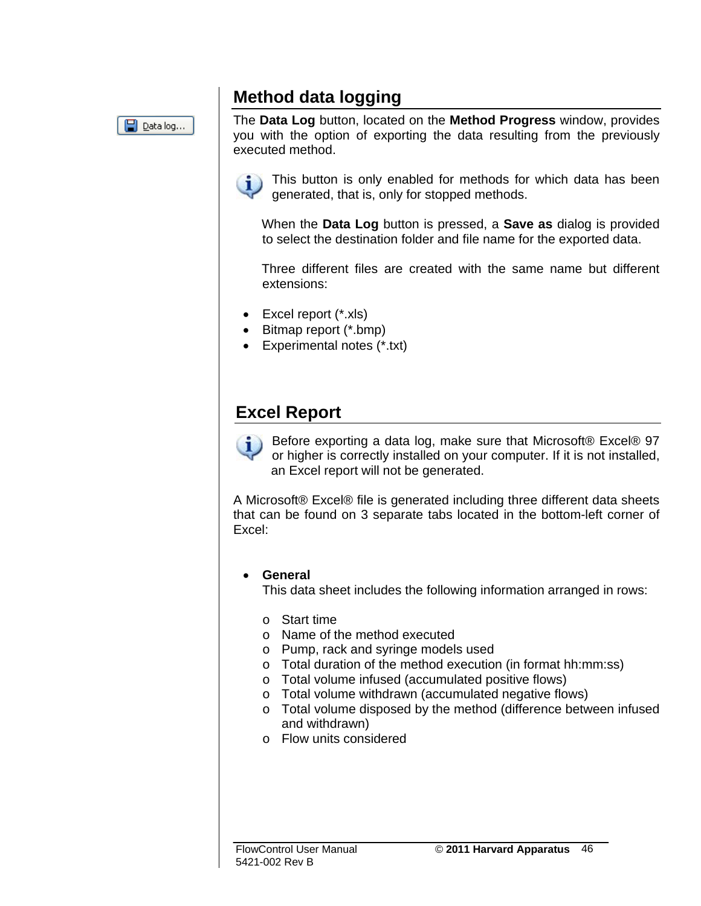#### **Method data logging**



The **Data Log** button, located on the **Method Progress** window, provides you with the option of exporting the data resulting from the previously executed method.

This button is only enabled for methods for which data has been generated, that is, only for stopped methods.

When the **Data Log** button is pressed, a **Save as** dialog is provided to select the destination folder and file name for the exported data.

Three different files are created with the same name but different extensions:

- Excel report (\*.xls)
- Bitmap report (\*.bmp)
- Experimental notes (\*.txt)

#### **Excel Report**

Before exporting a data log, make sure that Microsoft® Excel® 97 or higher is correctly installed on your computer. If it is not installed, an Excel report will not be generated.

A Microsoft® Excel® file is generated including three different data sheets that can be found on 3 separate tabs located in the bottom-left corner of Excel:

#### • **General**

This data sheet includes the following information arranged in rows:

- o Start time
- o Name of the method executed
- o Pump, rack and syringe models used
- o Total duration of the method execution (in format hh:mm:ss)
- o Total volume infused (accumulated positive flows)
- o Total volume withdrawn (accumulated negative flows)
- o Total volume disposed by the method (difference between infused and withdrawn)
- o Flow units considered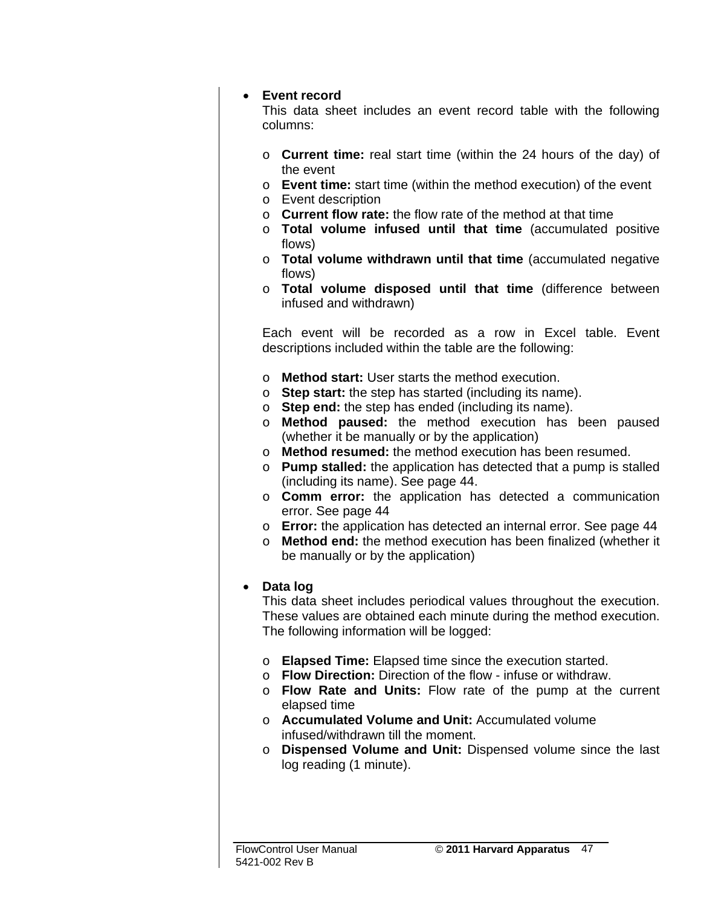#### • **Event record**

This data sheet includes an event record table with the following columns:

- o **Current time:** real start time (within the 24 hours of the day) of the event
- o **Event time:** start time (within the method execution) of the event
- o Event description
- o **Current flow rate:** the flow rate of the method at that time
- o **Total volume infused until that time** (accumulated positive flows)
- o **Total volume withdrawn until that time** (accumulated negative flows)
- o **Total volume disposed until that time** (difference between infused and withdrawn)

Each event will be recorded as a row in Excel table. Event descriptions included within the table are the following:

- o **Method start:** User starts the method execution.
- o **Step start:** the step has started (including its name).
- o **Step end:** the step has ended (including its name).
- o **Method paused:** the method execution has been paused (whether it be manually or by the application)
- o **Method resumed:** the method execution has been resumed.
- o **Pump stalled:** the application has detected that a pump is stalled (including its name). See page 44.
- o **Comm error:** the application has detected a communication error. See page 44
- o **Error:** the application has detected an internal error. See page 44
- o **Method end:** the method execution has been finalized (whether it be manually or by the application)

#### • **Data log**

This data sheet includes periodical values throughout the execution. These values are obtained each minute during the method execution. The following information will be logged:

- o **Elapsed Time:** Elapsed time since the execution started.
- o **Flow Direction:** Direction of the flow infuse or withdraw.
- o **Flow Rate and Units:** Flow rate of the pump at the current elapsed time
- o **Accumulated Volume and Unit:** Accumulated volume infused/withdrawn till the moment.
- o **Dispensed Volume and Unit:** Dispensed volume since the last log reading (1 minute).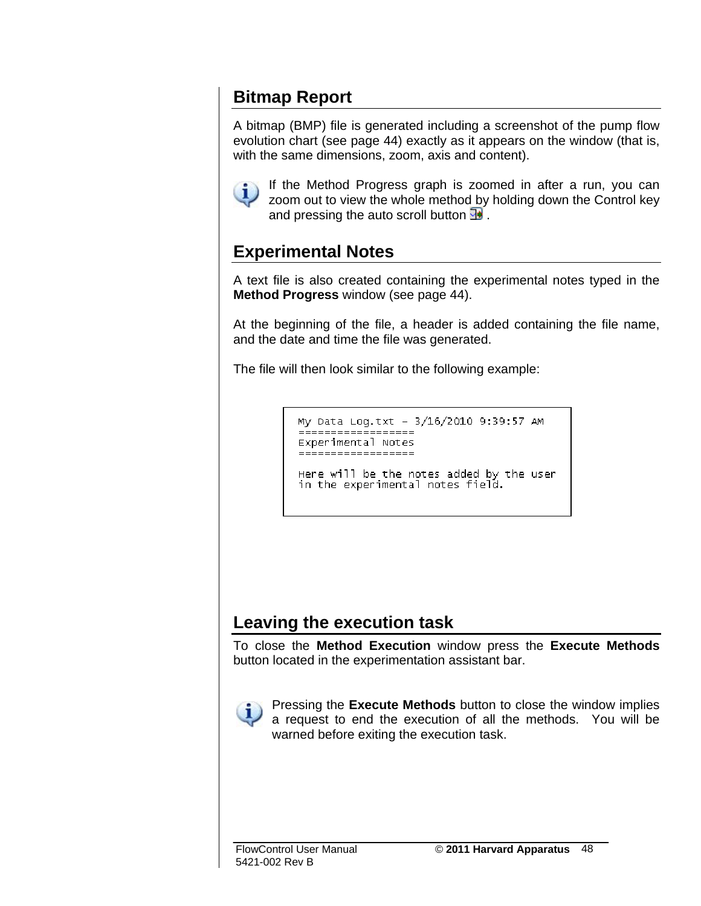#### **Bitmap Report**

A bitmap (BMP) file is generated including a screenshot of the pump flow evolution chart (see page 44) exactly as it appears on the window (that is, with the same dimensions, zoom, axis and content).



If the Method Progress graph is zoomed in after a run, you can zoom out to view the whole method by holding down the Control key and pressing the auto scroll button  $\mathbb{R}$ .

#### **Experimental Notes**

A text file is also created containing the experimental notes typed in the **Method Progress** window (see page 44).

At the beginning of the file, a header is added containing the file name, and the date and time the file was generated.

The file will then look similar to the following example:

```
My Data Log.txt - 3/16/2010 9:39:57 AM
 .<br>==================
Experimental Notes
------------------
```
Here will be the notes added by the user in the experimental notes field.

#### **Leaving the execution task**

To close the **Method Execution** window press the **Execute Methods** button located in the experimentation assistant bar.



Pressing the **Execute Methods** button to close the window implies a request to end the execution of all the methods. You will be warned before exiting the execution task.